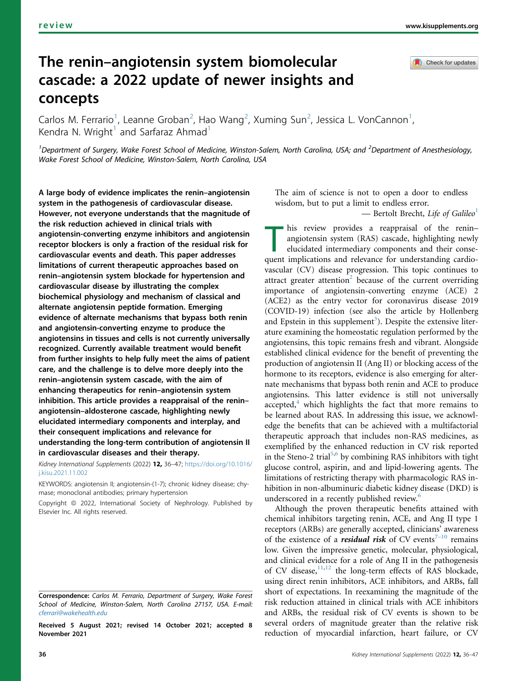Check for updates

# The renin–angiotensin system biomolecular cascade: a 2022 update of newer insights and concepts

Carlos M. Ferrario<sup>[1](#page-0-0)</sup>, Leanne Groban<sup>[2](#page-0-0)</sup>, Hao Wang<sup>2</sup>, Xuming Sun<sup>2</sup>, Jessica L. VonCannon<sup>1</sup> , Kendra N. Wright<sup>[1](#page-0-0)</sup> and Sarfaraz Ahmad<sup>1</sup>

<span id="page-0-0"></span><sup>1</sup>Department of Surgery, Wake Forest School of Medicine, Winston-Salem, North Carolina, USA; and <sup>2</sup>Department of Anesthesiology, Wake Forest School of Medicine, Winston-Salem, North Carolina, USA

A large body of evidence implicates the renin–angiotensin system in the pathogenesis of cardiovascular disease. However, not everyone understands that the magnitude of the risk reduction achieved in clinical trials with angiotensin-converting enzyme inhibitors and angiotensin receptor blockers is only a fraction of the residual risk for cardiovascular events and death. This paper addresses limitations of current therapeutic approaches based on renin–angiotensin system blockade for hypertension and cardiovascular disease by illustrating the complex biochemical physiology and mechanism of classical and alternate angiotensin peptide formation. Emerging evidence of alternate mechanisms that bypass both renin and angiotensin-converting enzyme to produce the angiotensins in tissues and cells is not currently universally recognized. Currently available treatment would benefit from further insights to help fully meet the aims of patient care, and the challenge is to delve more deeply into the renin–angiotensin system cascade, with the aim of enhancing therapeutics for renin–angiotensin system inhibition. This article provides a reappraisal of the renin– angiotensin–aldosterone cascade, highlighting newly elucidated intermediary components and interplay, and their consequent implications and relevance for understanding the long-term contribution of angiotensin II in cardiovascular diseases and their therapy.

Kidney International Supplements (2022) 12, 36-47; [https://doi.org/10.1016/](https://doi.org/10.1016/j.kisu.2021.11.002) [j.kisu.2021.11.002](https://doi.org/10.1016/j.kisu.2021.11.002)

KEYWORDS: angiotensin II; angiotensin-(1-7); chronic kidney disease; chymase; monoclonal antibodies; primary hypertension

Copyright © 2022, International Society of Nephrology. Published by Elsevier Inc. All rights reserved.

Received 5 August 2021; revised 14 October 2021; accepted 8 November 2021

The aim of science is not to open a door to endless wisdom, but to put a limit to endless error.

— Bertolt Brecht, Life of Galileo<sup>[1](#page-8-0)</sup>

 $\blacksquare$  his review provides a reappraisal of the reninangiotensin system (RAS) cascade, highlighting newly elucidated intermediary components and their consequent implications and relevance for understanding cardiovascular (CV) disease progression. This topic continues to attract greater attention<sup>[2](#page-8-1)</sup> because of the current overriding importance of angiotensin-converting enzyme (ACE) 2 (ACE2) as the entry vector for coronavirus disease 2019 (COVID-19) infection (see also the article by Hollenberg and Epstein in this supplement<sup>[3](#page-8-2)</sup>). Despite the extensive literature examining the homeostatic regulation performed by the angiotensins, this topic remains fresh and vibrant. Alongside established clinical evidence for the benefit of preventing the production of angiotensin II (Ang II) or blocking access of the hormone to its receptors, evidence is also emerging for alternate mechanisms that bypass both renin and ACE to produce angiotensins. This latter evidence is still not universally accepted, $4$  which highlights the fact that more remains to be learned about RAS. In addressing this issue, we acknowledge the benefits that can be achieved with a multifactorial therapeutic approach that includes non-RAS medicines, as exemplified by the enhanced reduction in CV risk reported in the Steno-2 trial<sup>[5](#page-8-4),[6](#page-8-5)</sup> by combining RAS inhibitors with tight glucose control, aspirin, and and lipid-lowering agents. The limitations of restricting therapy with pharmacologic RAS inhibition in non-albuminuric diabetic kidney disease (DKD) is underscored in a recently published review.<sup>[6](#page-8-5)</sup>

Although the proven therapeutic benefits attained with chemical inhibitors targeting renin, ACE, and Ang II type 1 receptors (ARBs) are generally accepted, clinicians' awareness of the existence of a *residual risk* of CV events<sup>7-[10](#page-8-6)</sup> remains low. Given the impressive genetic, molecular, physiological, and clinical evidence for a role of Ang II in the pathogenesis of CV disease, $11,12$  $11,12$  the long-term effects of RAS blockade, using direct renin inhibitors, ACE inhibitors, and ARBs, fall short of expectations. In reexamining the magnitude of the risk reduction attained in clinical trials with ACE inhibitors and ARBs, the residual risk of CV events is shown to be several orders of magnitude greater than the relative risk reduction of myocardial infarction, heart failure, or CV

Correspondence: Carlos M. Ferrario, Department of Surgery, Wake Forest School of Medicine, Winston-Salem, North Carolina 27157, USA. E-mail: [cferrari@wakehealth.edu](mailto:cferrari@wakehealth.edu)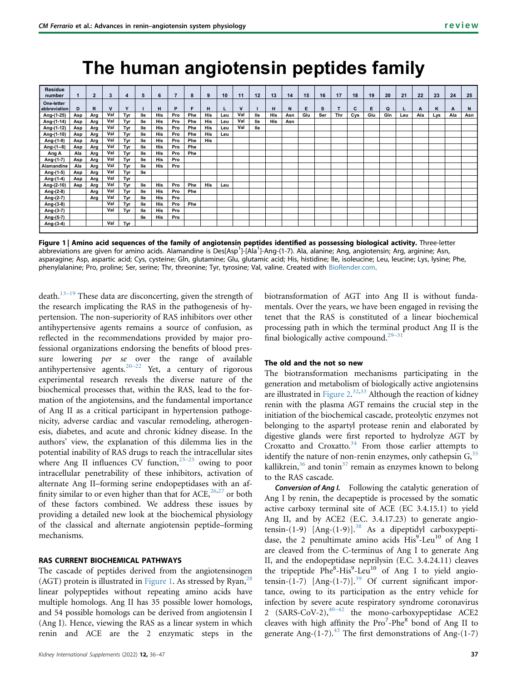# **The human angiotensin peptides family**

<span id="page-1-0"></span>

| <b>Residue</b><br>number   |     | $\overline{2}$ | 3            | 4   | 5   | 6   | 7   | 8   | 9   | 10  | 11          | 12  | 13  | 14  | 15  | 16  | 17         | 18  | 19  | 20  | 21  | 22  | 23  | 24  | 25  |
|----------------------------|-----|----------------|--------------|-----|-----|-----|-----|-----|-----|-----|-------------|-----|-----|-----|-----|-----|------------|-----|-----|-----|-----|-----|-----|-----|-----|
| One-letter<br>abbreviation | D   | R              | $\mathbf{v}$ | Y   |     | н   | P   | F   | н   |     | $\mathbf v$ |     | н   | N   | Е   | s   |            | C   | Е   | Q   |     | A   | ĸ   | A   | N   |
| Ang-(1-25)                 | Asp | Arg            | Val          | Tvr | lle | His | Pro | Phe | His | Leu | Val         | lle | His | Asn | Glu | Ser | <b>Thr</b> | Cys | Glu | Gln | Leu | Ala | Lvs | Ala | Asn |
| Ang-(1-14)                 | Asp | Arg            | Val          | Tvr | lle | His | Pro | Phe | His | Leu | Val         | lle | His | Asn |     |     |            |     |     |     |     |     |     |     |     |
| Ang-(1-12)                 | Asp | Arg            | Val          | Tvr | lle | His | Pro | Phe | His | Leu | Val         | lle |     |     |     |     |            |     |     |     |     |     |     |     |     |
| Ang-(1-10)                 | Asp | Arg            | Val          | Tvr | lle | His | Pro | Phe | His | Leu |             |     |     |     |     |     |            |     |     |     |     |     |     |     |     |
| Ang-(1-9)                  | Asp | Arg            | Val          | Tvr | lle | His | Pro | Phe | His |     |             |     |     |     |     |     |            |     |     |     |     |     |     |     |     |
| Ang-(1--8)                 | Asp | Arg            | Val          | Tvr | lle | His | Pro | Phe |     |     |             |     |     |     |     |     |            |     |     |     |     |     |     |     |     |
| Ang A                      | Ala | Arg            | Val          | Tvr | lle | His | Pro | Phe |     |     |             |     |     |     |     |     |            |     |     |     |     |     |     |     |     |
| Ang-(1-7)                  | Asp | Arg            | Val          | Tvr | lle | His | Pro |     |     |     |             |     |     |     |     |     |            |     |     |     |     |     |     |     |     |
| Alamandine                 | Ala | Arg            | Val          | Tvr | lle | His | Pro |     |     |     |             |     |     |     |     |     |            |     |     |     |     |     |     |     |     |
| Ang-(1-5)                  | Asp | Arg            | Val          | Tvr | lle |     |     |     |     |     |             |     |     |     |     |     |            |     |     |     |     |     |     |     |     |
| Ang-(1-4)                  | Asp | Arg            | Val          | Tvr |     |     |     |     |     |     |             |     |     |     |     |     |            |     |     |     |     |     |     |     |     |
| Ang-(2-10)                 | Asp | Arg            | Val          | Tvr | lle | His | Pro | Phe | His | Leu |             |     |     |     |     |     |            |     |     |     |     |     |     |     |     |
| Ang-(2-8)                  |     | Arg            | Val          | Tvr | lle | His | Pro | Phe |     |     |             |     |     |     |     |     |            |     |     |     |     |     |     |     |     |
| Ang-(2-7)                  |     | Arg            | Val          | Tvr | lle | His | Pro |     |     |     |             |     |     |     |     |     |            |     |     |     |     |     |     |     |     |
| Ang-(3-8)                  |     |                | Val          | Tvr | lle | His | Pro | Phe |     |     |             |     |     |     |     |     |            |     |     |     |     |     |     |     |     |
| Ang-(3-7)                  |     |                | Val          | Tvr | lle | His | Pro |     |     |     |             |     |     |     |     |     |            |     |     |     |     |     |     |     |     |
| Ang-(5-7)                  |     |                |              |     | lle | His | Pro |     |     |     |             |     |     |     |     |     |            |     |     |     |     |     |     |     |     |
| $Ang-(3-4)$                |     |                | Val          | Tvr |     |     |     |     |     |     |             |     |     |     |     |     |            |     |     |     |     |     |     |     |     |

Figure 1 | Amino acid sequences of the family of angiotensin peptides identified as possessing biological activity. Three-letter abbreviations are given for amino acids. Alamandine is Des[Asp<sup>1</sup>]-[Ala<sup>1</sup>]-Ang-(1-7). Ala, alanine; Ang, angiotensin; Arg, arginine; Asn, asparagine; Asp, aspartic acid; Cys, cysteine; Gln, glutamine; Glu, glutamic acid; His, histidine; lle, isoleucine; Leu, leucine; Lys, lysine; Phe, phenylalanine; Pro, proline; Ser, serine; Thr, threonine; Tyr, tyrosine; Val, valine. Created with [BioRender.com](http://BioRender.com).

death.<sup>13–[19](#page-8-9)</sup> These data are disconcerting, given the strength of the research implicating the RAS in the pathogenesis of hypertension. The non-superiority of RAS inhibitors over other antihypertensive agents remains a source of confusion, as reflected in the recommendations provided by major professional organizations endorsing the benefits of blood pressure lowering *per se* over the range of available antihypertensive agents.<sup>[20](#page-9-0)–22</sup> Yet, a century of rigorous experimental research reveals the diverse nature of the biochemical processes that, within the RAS, lead to the formation of the angiotensins, and the fundamental importance of Ang II as a critical participant in hypertension pathogenicity, adverse cardiac and vascular remodeling, atherogenesis, diabetes, and acute and chronic kidney disease. In the authors' view, the explanation of this dilemma lies in the potential inability of RAS drugs to reach the intracellular sites where Ang II influences CV function,  $23-25$  $23-25$  owing to poor intracellular penetrability of these inhibitors, activation of alternate Ang II–forming serine endopeptidases with an affinity similar to or even higher than that for  $ACE<sub>1</sub><sup>26,27</sup>$  $ACE<sub>1</sub><sup>26,27</sup>$  $ACE<sub>1</sub><sup>26,27</sup>$  $ACE<sub>1</sub><sup>26,27</sup>$  or both of these factors combined. We address these issues by providing a detailed new look at the biochemical physiology of the classical and alternate angiotensin peptide–forming mechanisms.

### RAS CURRENT BIOCHEMICAL PATHWAYS

The cascade of peptides derived from the angiotensinogen (AGT) protein is illustrated in [Figure 1](#page-1-0). As stressed by Ryan,  $^{28}$  $^{28}$  $^{28}$ linear polypeptides without repeating amino acids have multiple homologs. Ang II has 35 possible lower homologs, and 54 possible homologs can be derived from angiotensin I (Ang I). Hence, viewing the RAS as a linear system in which renin and ACE are the 2 enzymatic steps in the biotransformation of AGT into Ang II is without fundamentals. Over the years, we have been engaged in revising the tenet that the RAS is constituted of a linear biochemical processing path in which the terminal product Ang II is the final biologically active compound.<sup>[29](#page-9-5)–31</sup>

# The old and the not so new

The biotransformation mechanisms participating in the generation and metabolism of biologically active angiotensins are illustrated in [Figure 2.](#page-2-0)<sup>[32](#page-9-6)[,33](#page-9-7)</sup> Although the reaction of kidney renin with the plasma AGT remains the crucial step in the initiation of the biochemical cascade, proteolytic enzymes not belonging to the aspartyl protease renin and elaborated by digestive glands were first reported to hydrolyze AGT by Croxatto and Croxatto.<sup>[34](#page-9-8)</sup> From those earlier attempts to identify the nature of non-renin enzymes, only cathepsin  $G<sub>35</sub>$  $G<sub>35</sub>$  $G<sub>35</sub>$ kallikrein, $36$  and tonin<sup>[37](#page-9-11)</sup> remain as enzymes known to belong to the RAS cascade.

Conversion of Ang I. Following the catalytic generation of Ang I by renin, the decapeptide is processed by the somatic active carboxy terminal site of ACE (EC 3.4.15.1) to yield Ang II, and by ACE2 (E.C. 3.4.17.23) to generate angiotensin-(1-9)  $[Ang-(1-9)]^{38}$  $[Ang-(1-9)]^{38}$  $[Ang-(1-9)]^{38}$  As a dipeptidyl carboxypeptidase, the 2 penultimate amino acids His<sup>9</sup>-Leu<sup>10</sup> of Ang I are cleaved from the C-terminus of Ang I to generate Ang II, and the endopeptidase neprilysin (E.C. 3.4.24.11) cleaves the tripeptide Phe<sup>8</sup>-His<sup>9</sup>-Leu<sup>10</sup> of Ang I to yield angiotensin- $(1-7)$  [Ang- $(1-7)$ ].<sup>[39](#page-9-13)</sup> Of current significant importance, owing to its participation as the entry vehicle for infection by severe acute respiratory syndrome coronavirus 2 (SARS-CoV-2), $40-42$  $40-42$  the mono-carboxypeptidase ACE2 cleaves with high affinity the Pro<sup>7</sup>-Phe<sup>8</sup> bond of Ang II to generate Ang- $(1-7)$ <sup>43</sup>. The first demonstrations of Ang- $(1-7)$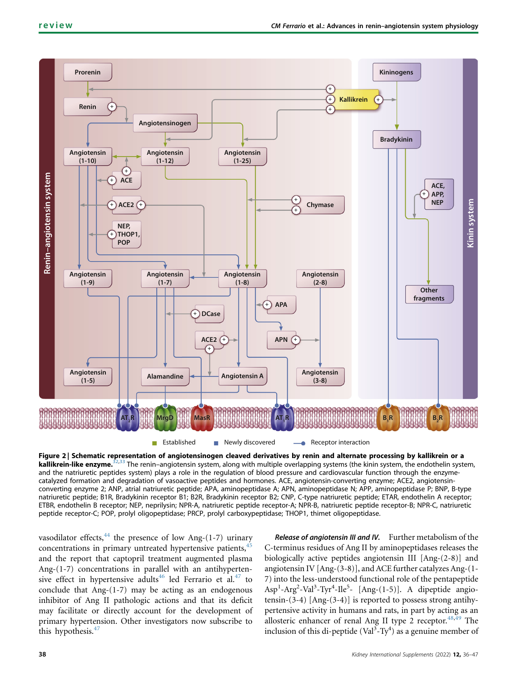<span id="page-2-0"></span>

Figure 2 Schematic representation of angiotensinogen cleaved derivatives by renin and alternate processing by kallikrein or a kallikrein-like enzyme.<sup>[32](#page-9-6)[,33](#page-9-7)</sup> The renin–angiotensin system, along with multiple overlapping systems (the kinin system, the endothelin system, and the natriuretic peptides system) plays a role in the regulation of blood pressure and cardiovascular function through the enzymecatalyzed formation and degradation of vasoactive peptides and hormones. ACE, angiotensin-converting enzyme; ACE2, angiotensinconverting enzyme 2; ANP, atrial natriuretic peptide; APA, aminopeptidase A; APN, aminopeptidase N; APP, aminopeptidase P; BNP, B-type natriuretic peptide; B1R, Bradykinin receptor B1; B2R, Bradykinin receptor B2; CNP, C-type natriuretic peptide; ETAR, endothelin A receptor; ETBR, endothelin B receptor; NEP, neprilysin; NPR-A, natriuretic peptide receptor-A; NPR-B, natriuretic peptide receptor-B; NPR-C, natriuretic peptide receptor-C; POP, prolyl oligopeptidase; PRCP, prolyl carboxypeptidase; THOP1, thimet oligopeptidase.

vasodilator effects, $44$  the presence of low Ang-(1-7) urinary concentrations in primary untreated hypertensive patients,<sup>[45](#page-9-17)</sup> and the report that captopril treatment augmented plasma Ang-(1-7) concentrations in parallel with an antihyperten-sive effect in hypertensive adults<sup>46</sup> led Ferrario et al.<sup>[47](#page-9-19)</sup> to conclude that  $Ang-(1-7)$  may be acting as an endogenous inhibitor of Ang II pathologic actions and that its deficit may facilitate or directly account for the development of primary hypertension. Other investigators now subscribe to this hypothesis.<sup>[47](#page-9-19)</sup>

Release of angiotensin III and IV. Further metabolism of the C-terminus residues of Ang II by aminopeptidases releases the biologically active peptides angiotensin III [Ang-(2-8)] and angiotensin IV [Ang-(3-8)], and ACE further catalyzes Ang-(1- 7) into the less-understood functional role of the pentapeptide Asp<sup>1</sup>-Arg<sup>2</sup>-Val<sup>3</sup>-Tyr<sup>4</sup>-Ile<sup>5</sup>- [Ang-(1-5)]. A dipeptide angiotensin-(3-4) [Ang-(3-4)] is reported to possess strong antihypertensive activity in humans and rats, in part by acting as an allosteric enhancer of renal Ang II type 2 receptor. $48,49$  $48,49$  $48,49$  The inclusion of this di-peptide (Val<sup>3</sup>-Ty<sup>4</sup>) as a genuine member of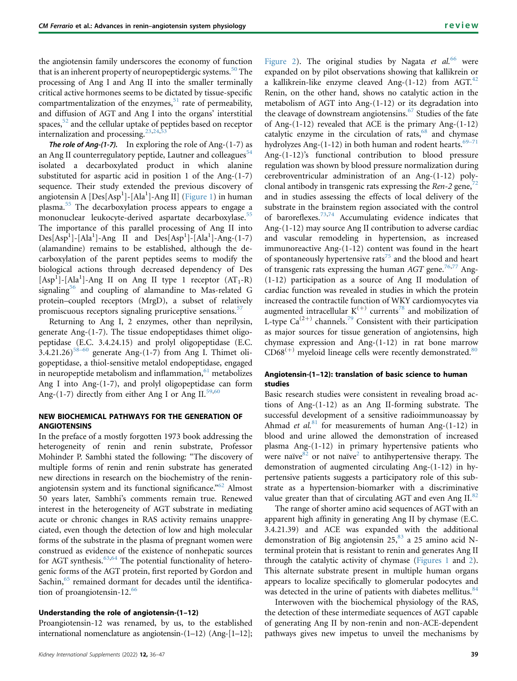the angiotensin family underscores the economy of function that is an inherent property of neuropeptidergic systems.<sup>[50](#page-9-22)</sup> The processing of Ang I and Ang II into the smaller terminally critical active hormones seems to be dictated by tissue-specific compartmentalization of the enzymes, $51$  rate of permeability, and diffusion of AGT and Ang I into the organs' interstitial spaces,<sup>[52](#page-9-24)</sup> and the cellular uptake of peptides based on receptor internalization and processing.<sup>[23,](#page-9-1)[24,](#page-9-25)[53](#page-9-26)</sup>

**The role of Ang-(1-7).** In exploring the role of Ang- $(1-7)$  as an Ang II counterregulatory peptide, Lautner and colleagues $54$ isolated a decarboxylated product in which alanine substituted for aspartic acid in position 1 of the Ang-(1-7) sequence. Their study extended the previous discovery of angiotensin A [Des[Asp<sup>1</sup>]-[Ala<sup>1</sup>]-Ang II] ([Figure 1\)](#page-1-0) in human plasma.[55](#page-9-28) The decarboxylation process appears to engage a mononuclear leukocyte-derived aspartate decarboxylase.<sup>[55](#page-9-28)</sup> The importance of this parallel processing of Ang II into  $Des[Asp<sup>1</sup>] - [Ala<sup>1</sup>] - Ang II$  and  $Des[Asp<sup>1</sup>] - [Ala<sup>1</sup>] - Ang-(1-7)$ (alamandine) remains to be established, although the decarboxylation of the parent peptides seems to modify the biological actions through decreased dependency of Des [Asp<sup>1</sup>]-[Ala<sup>1</sup>]-Ang II on Ang II type 1 receptor (AT<sub>1</sub>-R) signaling<sup>[56](#page-9-29)</sup> and coupling of alamandine to Mas-related G protein–coupled receptors (MrgD), a subset of relatively promiscuous receptors signaling pruriceptive sensations.<sup>[57](#page-9-30)</sup>

Returning to Ang I, 2 enzymes, other than neprilysin, generate Ang-(1-7). The tissue endopeptidases thimet oligopeptidase (E.C. 3.4.24.15) and prolyl oligopeptidase (E.C. 3.4.21.26)<sup>58–[60](#page-9-31)</sup> generate Ang- $(1-7)$  from Ang I. Thimet oligopeptidase, a thiol-sensitive metalol endopeptidase, engaged in neuropeptide metabolism and inflammation, $61$  metabolizes Ang I into Ang-(1-7), and prolyl oligopeptidase can form Ang-(1-7) directly from either Ang I or Ang II. $59,60$  $59,60$ 

# NEW BIOCHEMICAL PATHWAYS FOR THE GENERATION OF ANGIOTENSINS

In the preface of a mostly forgotten 1973 book addressing the heterogeneity of renin and renin substrate, Professor Mohinder P. Sambhi stated the following: "The discovery of multiple forms of renin and renin substrate has generated new directions in research on the biochemistry of the renin-angiotensin system and its functional significance."<sup>[62](#page-9-35)</sup> Almost 50 years later, Sambhi's comments remain true. Renewed interest in the heterogeneity of AGT substrate in mediating acute or chronic changes in RAS activity remains unappreciated, even though the detection of low and high molecular forms of the substrate in the plasma of pregnant women were construed as evidence of the existence of nonhepatic sources for AGT synthesis. $63,64$  $63,64$  The potential functionality of heterogenic forms of the AGT protein, first reported by Gordon and Sachin,<sup>[65](#page-10-0)</sup> remained dormant for decades until the identification of proangiotensin-12. $^{66}$  $^{66}$  $^{66}$ 

# Understanding the role of angiotensin-(1–12)

Proangiotensin-12 was renamed, by us, to the established international nomenclature as angiotensin-(1–12) (Ang-[1–12];

[Figure 2](#page-2-0)). The original studies by Nagata et  $al^{66}$  $al^{66}$  $al^{66}$  were expanded on by pilot observations showing that kallikrein or a kallikrein-like enzyme cleaved Ang- $(1-12)$  from AGT.<sup>[42](#page-9-38)</sup> Renin, on the other hand, shows no catalytic action in the metabolism of AGT into Ang-(1-12) or its degradation into the cleavage of downstream angiotensins.<sup>[67](#page-10-2)</sup> Studies of the fate of Ang-(1-12) revealed that ACE is the primary Ang-(1-12) catalytic enzyme in the circulation of rats, $68$  and chymase hydrolyzes Ang- $(1-12)$  in both human and rodent hearts.<sup>[69](#page-10-4)–71</sup> Ang-(1-12)'s functional contribution to blood pressure regulation was shown by blood pressure normalization during cerebroventricular administration of an Ang-(1-12) polyclonal antibody in transgenic rats expressing the Ren-2 gene,  $72$ and in studies assessing the effects of local delivery of the substrate in the brainstem region associated with the control of baroreflexes.[73](#page-10-6)[,74](#page-10-7) Accumulating evidence indicates that Ang-(1-12) may source Ang II contribution to adverse cardiac and vascular remodeling in hypertension, as increased immunoreactive Ang-(1-12) content was found in the heart of spontaneously hypertensive rats<sup>[75](#page-10-8)</sup> and the blood and heart of transgenic rats expressing the human  $AGT$  gene.<sup>[76,](#page-10-9)[77](#page-10-10)</sup> Ang-(1-12) participation as a source of Ang II modulation of cardiac function was revealed in studies in which the protein increased the contractile function of WKY cardiomyocytes via augmented intracellular  $K^{(+)}$  currents<sup>[78](#page-10-11)</sup> and mobilization of L-type  $Ca^{(2+)}$  channels.<sup>[79](#page-10-12)</sup> Consistent with their participation as major sources for tissue generation of angiotensins, high chymase expression and Ang-(1-12) in rat bone marrow  $CD68<sup>(+)</sup>$  myeloid lineage cells were recently demonstrated.<sup>[80](#page-10-13)</sup>

# Angiotensin-(1–12): translation of basic science to human studies

Basic research studies were consistent in revealing broad actions of Ang-(1-12) as an Ang II-forming substrate. The successful development of a sensitive radioimmunoassay by Ahmad et al.<sup>[81](#page-10-14)</sup> for measurements of human Ang-(1-12) in blood and urine allowed the demonstration of increased plasma Ang-(1-12) in primary hypertensive patients who were naïve $82$  or not naïve<sup>2</sup> to antihypertensive therapy. The demonstration of augmented circulating Ang-(1-12) in hypertensive patients suggests a participatory role of this substrate as a hypertension-biomarker with a discriminative value greater than that of circulating AGT and even Ang II.<sup>[82](#page-10-15)</sup>

The range of shorter amino acid sequences of AGT with an apparent high affinity in generating Ang II by chymase (E.C. 3.4.21.39) and ACE was expanded with the additional demonstration of Big angiotensin  $25$ ,  $83$  a 25 amino acid Nterminal protein that is resistant to renin and generates Ang II through the catalytic activity of chymase ([Figures 1](#page-1-0) and [2\)](#page-2-0). This alternate substrate present in multiple human organs appears to localize specifically to glomerular podocytes and was detected in the urine of patients with diabetes mellitus. $84$ 

Interwoven with the biochemical physiology of the RAS, the detection of these intermediate sequences of AGT capable of generating Ang II by non-renin and non-ACE-dependent pathways gives new impetus to unveil the mechanisms by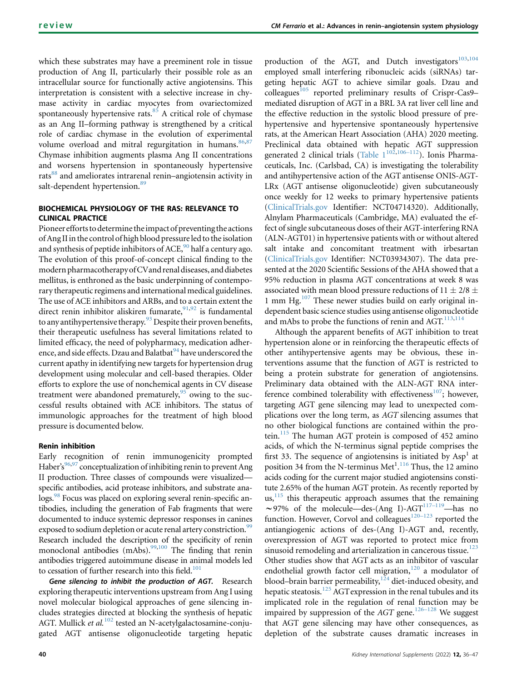which these substrates may have a preeminent role in tissue production of Ang II, particularly their possible role as an intracellular source for functionally active angiotensins. This interpretation is consistent with a selective increase in chymase activity in cardiac myocytes from ovariectomized spontaneously hypertensive rats. $85$  A critical role of chymase as an Ang II–forming pathway is strengthened by a critical role of cardiac chymase in the evolution of experimental volume overload and mitral regurgitation in humans.<sup>[86](#page-10-19),[87](#page-10-20)</sup> Chymase inhibition augments plasma Ang II concentrations and worsens hypertension in spontaneously hypertensive rats<sup>[88](#page-10-21)</sup> and ameliorates intrarenal renin–angiotensin activity in salt-dependent hypertension.<sup>[89](#page-10-22)</sup>

# BIOCHEMICAL PHYSIOLOGY OF THE RAS: RELEVANCE TO CLINICAL PRACTICE

Pioneerefforts to determine theimpact of preventing the actions of Ang IIin the control of high blood pressure led to the isolation and synthesis of peptide inhibitors of ACE, $90$  half a century ago. The evolution of this proof-of-concept clinical finding to the modern pharmacotherapy ofCVand renal diseases, and diabetes mellitus, is enthroned as the basic underpinning of contemporary therapeutic regimens and international medical guidelines. The use of ACE inhibitors and ARBs, and to a certain extent the direct renin inhibitor aliskiren fumarate,  $91,92$  $91,92$  is fundamental to any antihypertensive therapy.<sup>[93](#page-10-26)</sup> Despite their proven benefits, their therapeutic usefulness has several limitations related to limited efficacy, the need of polypharmacy, medication adher-ence, and side effects. Dzau and Balatbat<sup>[94](#page-10-27)</sup> have underscored the current apathy in identifying new targets for hypertension drug development using molecular and cell-based therapies. Older efforts to explore the use of nonchemical agents in CV disease treatment were abandoned prematurely, $95$  owing to the successful results obtained with ACE inhibitors. The status of immunologic approaches for the treatment of high blood pressure is documented below.

# Renin inhibition

Early recognition of renin immunogenicity prompted Haber's<sup>[96,](#page-10-29)[97](#page-10-30)</sup> conceptualization of inhibiting renin to prevent Ang II production. Three classes of compounds were visualized specific antibodies, acid protease inhibitors, and substrate analogs.<sup>98</sup> Focus was placed on exploring several renin-specific antibodies, including the generation of Fab fragments that were documented to induce systemic depressor responses in canines exposed to sodium depletion or acute renal artery constriction.<sup>99</sup> Research included the description of the specificity of renin monoclonal antibodies (mAbs).<sup>99,[100](#page-10-33)</sup> The finding that renin antibodies triggered autoimmune disease in animal models led to cessation of further research into this field.<sup>101</sup>

Gene silencing to inhibit the production of AGT. Research exploring therapeutic interventions upstream from Ang I using novel molecular biological approaches of gene silencing includes strategies directed at blocking the synthesis of hepatic AGT. Mullick et al.<sup>[102](#page-10-35)</sup> tested an N-acetylgalactosamine-conjugated AGT antisense oligonucleotide targeting hepatic production of the AGT, and Dutch investigators<sup>103,[104](#page-10-37)</sup> employed small interfering ribonucleic acids (siRNAs) targeting hepatic AGT to achieve similar goals. Dzau and colleagues<sup>[105](#page-10-38)</sup> reported preliminary results of Crispr-Cas9– mediated disruption of AGT in a BRL 3A rat liver cell line and the effective reduction in the systolic blood pressure of prehypertensive and hypertensive spontaneously hypertensive rats, at the American Heart Association (AHA) 2020 meeting. Preclinical data obtained with hepatic AGT suppression generated 2 clinical trials (Table  $1^{102,106-112}$  $1^{102,106-112}$  $1^{102,106-112}$  $1^{102,106-112}$  $1^{102,106-112}$ ). Ionis Pharmaceuticals, Inc. (Carlsbad, CA) is investigating the tolerability and antihypertensive action of the AGT antisense ONIS-AGT-LRx (AGT antisense oligonucleotide) given subcutaneously once weekly for 12 weeks to primary hypertensive patients ([ClinicalTrials.gov](http://ClinicalTrials.gov) Identifier: NCT04714320). Additionally, Alnylam Pharmaceuticals (Cambridge, MA) evaluated the effect of single subcutaneous doses of their AGT-interfering RNA (ALN-AGT01) in hypertensive patients with or without altered salt intake and concomitant treatment with irbesartan ([ClinicalTrials.gov](http://ClinicalTrials.gov) Identifier: NCT03934307). The data presented at the 2020 Scientific Sessions of the AHA showed that a 95% reduction in plasma AGT concentrations at week 8 was associated with mean blood pressure reductions of  $11 \pm 2/8 \pm 1/2$ 1 mm Hg. $107$  These newer studies build on early original independent basic science studies using antisense oligonucleotide and mAbs to probe the functions of renin and AGT.<sup>[113,](#page-11-0)[114](#page-11-1)</sup>

Although the apparent benefits of AGT inhibition to treat hypertension alone or in reinforcing the therapeutic effects of other antihypertensive agents may be obvious, these interventions assume that the function of AGT is restricted to being a protein substrate for generation of angiotensins. Preliminary data obtained with the ALN-AGT RNA interference combined tolerability with effectiveness $^{107}$  $^{107}$  $^{107}$ ; however, targeting AGT gene silencing may lead to unexpected complications over the long term, as AGT silencing assumes that no other biological functions are contained within the protein. $115$  The human AGT protein is composed of 452 amino acids, of which the N-terminus signal peptide comprises the first 33. The sequence of angiotensins is initiated by  $Asp<sup>1</sup>$  at position 34 from the N-terminus Met<sup>1</sup>.<sup>[116](#page-11-3)</sup> Thus, the 12 amino acids coding for the current major studied angiotensins constitute 2.65% of the human AGT protein. As recently reported by  $us<sub>115</sub>$  $us<sub>115</sub>$  $us<sub>115</sub>$ , this therapeutic approach assumes that the remaining ~97% of the molecule—des-(Ang I)-AGT<sup>[117](#page-11-4)–119</sup>—has no function. However, Corvol and colleagues $120-123$  $120-123$  reported the antiangiogenic actions of des-(Ang I)-AGT and, recently, overexpression of AGT was reported to protect mice from sinusoid remodeling and arterialization in cancerous tissue. $^{123}$  $^{123}$  $^{123}$ Other studies show that AGT acts as an inhibitor of vascular endothelial growth factor cell migration,<sup>[120](#page-11-5)</sup> a modulator of blood–brain barrier permeability, $124$  diet-induced obesity, and hepatic steatosis.<sup>[125](#page-11-8)</sup> AGT expression in the renal tubules and its implicated role in the regulation of renal function may be impaired by suppression of the AGT gene.<sup>[126](#page-11-9)–128</sup> We suggest that AGT gene silencing may have other consequences, as depletion of the substrate causes dramatic increases in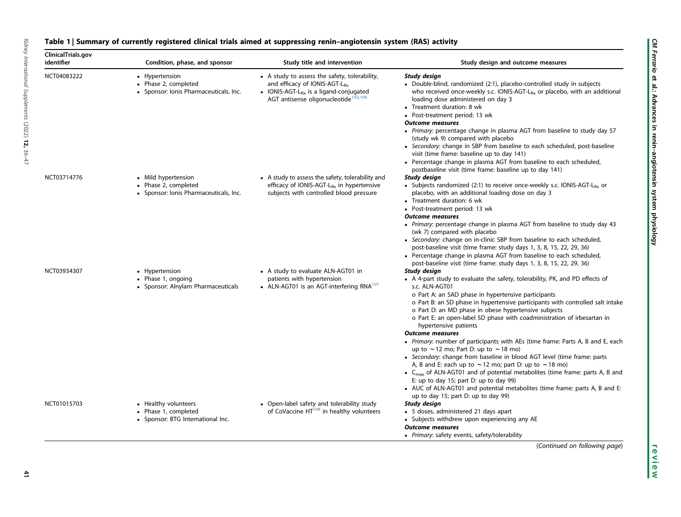# <span id="page-5-0"></span>Table 1 | Summary of currently registered clinical trials aimed at suppressing renin-angiotensin system (RAS) activity

| ClinicalTrials.gov<br>identifier | Condition, phase, and sponsor                                                         | Study title and intervention                                                                                                                                                                         | Study design and outcome measures                                                                                                                                                                                                                                                                                                                                                                                                                                                                                                                                                                                              |
|----------------------------------|---------------------------------------------------------------------------------------|------------------------------------------------------------------------------------------------------------------------------------------------------------------------------------------------------|--------------------------------------------------------------------------------------------------------------------------------------------------------------------------------------------------------------------------------------------------------------------------------------------------------------------------------------------------------------------------------------------------------------------------------------------------------------------------------------------------------------------------------------------------------------------------------------------------------------------------------|
| NCT04083222                      | • Hypertension<br>• Phase 2, completed<br>• Sponsor: Ionis Pharmaceuticals, Inc.      | • A study to assess the safety, tolerability,<br>and efficacy of IONIS-AGT-L <sub>Bx</sub><br>• IONIS-AGT-L <sub>Rx</sub> is a ligand-conjugated<br>AGT antisense oligonucleotide <sup>102,106</sup> | Study design<br>• Double-blind, randomized (2:1), placebo-controlled study in subjects<br>who received once-weekly s.c. IONIS-AGT- $L_{Rx}$ or placebo, with an additional<br>loading dose administered on day 3<br>• Treatment duration: 8 wk<br>• Post-treatment period: 13 wk<br><b>Outcome measures</b><br>• Primary: percentage change in plasma AGT from baseline to study day 57<br>(study wk 9) compared with placebo<br>• Secondary: change in SBP from baseline to each scheduled, post-baseline<br>visit (time frame: baseline up to day 141)<br>• Percentage change in plasma AGT from baseline to each scheduled, |
| NCT03714776                      | • Mild hypertension<br>• Phase 2, completed<br>• Sponsor: Ionis Pharmaceuticals, Inc. | • A study to assess the safety, tolerability and<br>efficacy of IONIS-AGT-L <sub>Rx</sub> in hypertensive<br>subjects with controlled blood pressure                                                 | postbaseline visit (time frame: baseline up to day 141)<br>Study design<br>• Subjects randomized (2:1) to receive once-weekly s.c. IONIS-AGT- $L_{Rx}$ or<br>placebo, with an additional loading dose on day 3<br>• Treatment duration: 6 wk<br>• Post-treatment period: 13 wk<br><b>Outcome measures</b><br>• Primary: percentage change in plasma AGT from baseline to study day 43                                                                                                                                                                                                                                          |
| NCT03934307                      | • Hypertension                                                                        | • A study to evaluate ALN-AGT01 in                                                                                                                                                                   | (wk 7) compared with placebo<br>• Secondary: change on in-clinic SBP from baseline to each scheduled,<br>post-baseline visit (time frame: study days 1, 3, 8, 15, 22, 29, 36)<br>• Percentage change in plasma AGT from baseline to each scheduled,<br>post-baseline visit (time frame: study days 1, 3, 8, 15, 22, 29, 36)<br>Study design                                                                                                                                                                                                                                                                                    |
|                                  | • Phase 1, ongoing<br>• Sponsor: Alnylam Pharmaceuticals                              | patients with hypertension<br>• ALN-AGT01 is an AGT-interfering RNA <sup>107</sup>                                                                                                                   | • A 4-part study to evaluate the safety, tolerability, PK, and PD effects of<br>s.c. ALN-AGT01<br>o Part A: an SAD phase in hypertensive participants<br>o Part B: an SD phase in hypertensive participants with controlled salt intake<br>o Part D: an MD phase in obese hypertensive subjects<br>o Part E: an open-label SD phase with coadministration of irbesartan in<br>hypertensive patients<br><b>Outcome measures</b>                                                                                                                                                                                                 |
|                                  |                                                                                       |                                                                                                                                                                                                      | • Primary: number of participants with AEs (time frame: Parts A, B and E, each<br>up to $\sim$ 12 mo; Part D: up to $\sim$ 18 mo)<br>• Secondary: change from baseline in blood AGT level (time frame: parts<br>A, B and E: each up to $\sim$ 12 mo; part D: up to $\sim$ 18 mo)<br>• C <sub>max</sub> of ALN-AGT01 and of potential metabolites (time frame: parts A, B and<br>E: up to day 15; part D: up to day 99)<br>• AUC of ALN-AGT01 and potential metabolites (time frame: parts A, B and E:<br>up to day 15; part D: up to day 99)                                                                                   |
| NCT01015703                      | • Healthy volunteers<br>• Phase 1, completed<br>• Sponsor: BTG International Inc.     | • Open-label safety and tolerability study<br>of CoVaccine HT <sup>108</sup> in healthy volunteers                                                                                                   | Study design<br>• 5 doses, administered 21 days apart<br>• Subjects withdrew upon experiencing any AE<br><b>Outcome measures</b><br>• Primary: safety events, safety/tolerability<br>(Continued on following page)                                                                                                                                                                                                                                                                                                                                                                                                             |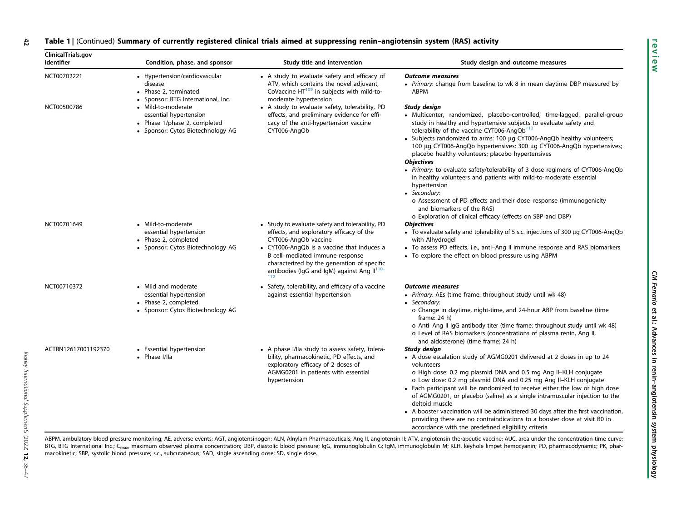#### Table 1 | (Continued) Summary of currently registered clinical trials aimed at suppressing renin-angiotensin system (RAS) activity 42

| ClinicalTrials.gov<br>identifier | Condition, phase, and sponsor                                                                                     | Study title and intervention                                                                                                                                                                                                                                                                            | Study design and outcome measures                                                                                                                                                                                                                                                                                                                                                                                                                                                                                                                                                                                                                                                                                                                                                                                 |
|----------------------------------|-------------------------------------------------------------------------------------------------------------------|---------------------------------------------------------------------------------------------------------------------------------------------------------------------------------------------------------------------------------------------------------------------------------------------------------|-------------------------------------------------------------------------------------------------------------------------------------------------------------------------------------------------------------------------------------------------------------------------------------------------------------------------------------------------------------------------------------------------------------------------------------------------------------------------------------------------------------------------------------------------------------------------------------------------------------------------------------------------------------------------------------------------------------------------------------------------------------------------------------------------------------------|
| NCT00702221                      | • Hypertension/cardiovascular<br>disease<br>• Phase 2, terminated<br>Sponsor: BTG International, Inc.             | • A study to evaluate safety and efficacy of<br>ATV, which contains the novel adjuvant,<br>CoVaccine HT <sup>109</sup> in subjects with mild-to-<br>moderate hypertension                                                                                                                               | <b>Outcome measures</b><br>• Primary: change from baseline to wk 8 in mean daytime DBP measured by<br><b>ABPM</b>                                                                                                                                                                                                                                                                                                                                                                                                                                                                                                                                                                                                                                                                                                 |
| NCT00500786                      | • Mild-to-moderate<br>essential hypertension<br>• Phase 1/phase 2, completed<br>• Sponsor: Cytos Biotechnology AG | • A study to evaluate safety, tolerability, PD<br>effects, and preliminary evidence for effi-<br>cacy of the anti-hypertension vaccine<br>CYT006-AngQb                                                                                                                                                  | Study design<br>• Multicenter, randomized, placebo-controlled, time-lagged, parallel-group<br>study in healthy and hypertensive subjects to evaluate safety and<br>tolerability of the vaccine CYT006-AngQb <sup>110</sup><br>• Subjects randomized to arms: 100 µg CYT006-AngQb healthy volunteers;<br>100 µg CYT006-AngQb hypertensives; 300 µg CYT006-AngQb hypertensives;<br>placebo healthy volunteers; placebo hypertensives<br><b>Objectives</b><br>• Primary: to evaluate safety/tolerability of 3 dose regimens of CYT006-AngQb<br>in healthy volunteers and patients with mild-to-moderate essential<br>hypertension<br>• Secondary:<br>o Assessment of PD effects and their dose–response (immunogenicity<br>and biomarkers of the RAS)<br>o Exploration of clinical efficacy (effects on SBP and DBP) |
| NCT00701649                      | • Mild-to-moderate<br>essential hypertension<br>• Phase 2, completed<br>• Sponsor: Cytos Biotechnology AG         | • Study to evaluate safety and tolerability, PD<br>effects, and exploratory efficacy of the<br>CYT006-AngQb vaccine<br>• CYT006-AngQb is a vaccine that induces a<br>B cell-mediated immune response<br>characterized by the generation of specific<br>antibodies (IgG and IgM) against Ang $II^{110-}$ | <b>Objectives</b><br>• To evaluate safety and tolerability of 5 s.c. injections of 300 µg CYT006-AngQb<br>with Alhydrogel<br>• To assess PD effects, i.e., anti-Ang II immune response and RAS biomarkers<br>• To explore the effect on blood pressure using ABPM                                                                                                                                                                                                                                                                                                                                                                                                                                                                                                                                                 |
| NCT00710372                      | • Mild and moderate<br>essential hypertension<br>• Phase 2, completed<br>• Sponsor: Cytos Biotechnology AG        | • Safety, tolerability, and efficacy of a vaccine<br>against essential hypertension                                                                                                                                                                                                                     | <b>Outcome measures</b><br>• Primary: AEs (time frame: throughout study until wk 48)<br>• Secondary:<br>o Change in daytime, night-time, and 24-hour ABP from baseline (time<br>frame: $24$ h)<br>o Anti-Ang II IgG antibody titer (time frame: throughout study until wk 48)<br>o Level of RAS biomarkers (concentrations of plasma renin, Ang II,                                                                                                                                                                                                                                                                                                                                                                                                                                                               |
| ACTRN12617001192370              | • Essential hypertension<br>• Phase I/IIa                                                                         | • A phase I/IIa study to assess safety, tolera-<br>bility, pharmacokinetic, PD effects, and<br>exploratory efficacy of 2 doses of<br>AGMG0201 in patients with essential<br>hypertension                                                                                                                | and aldosterone) (time frame: 24 h)<br>Study design<br>• A dose escalation study of AGMG0201 delivered at 2 doses in up to 24<br>volunteers<br>o High dose: 0.2 mg plasmid DNA and 0.5 mg Ang II-KLH conjugate<br>o Low dose: 0.2 mg plasmid DNA and 0.25 mg Ang II-KLH conjugate<br>• Each participant will be randomized to receive either the low or high dose<br>of AGMG0201, or placebo (saline) as a single intramuscular injection to the<br>deltoid muscle<br>• A booster vaccination will be administered 30 days after the first vaccination,<br>providing there are no contraindications to a booster dose at visit B0 in<br>accordance with the predefined eligibility criteria                                                                                                                       |

ABPM, ambulatory blood pressure monitoring; AE, adverse events; AGT, angiotensinogen; ALN, Alnylam Pharmaceuticals; Ang II, angiotensin II; ATV, angiotensin therapeutic vaccine; AUC, area under the concentration-time curve BTG, BTG International Inc.; C<sub>max</sub>, maximum observed plasma concentration; DBP, diastolic blood pressure; IgG, immunoglobulin G; IgM, immunoglobulin M; KLH, keyhole limpet hemocyanin; PD, pharmacodynamic; PK, pharmacokinetic; SBP, systolic blood pressure; s.c., subcutaneous; SAD, single ascending dose; SD, single dose.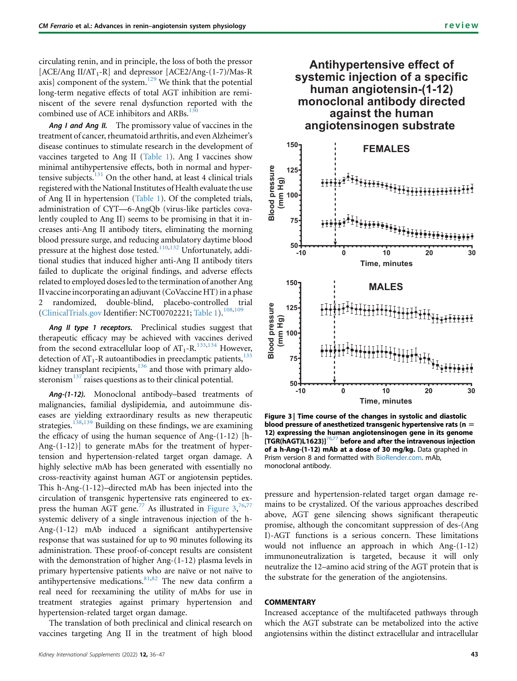circulating renin, and in principle, the loss of both the pressor [ACE/Ang II/AT<sub>1</sub>-R] and depressor  $[ACE2/Ang-(1-7)/Mas-R]$ axis] component of the system. $129$  We think that the potential long-term negative effects of total AGT inhibition are reminiscent of the severe renal dysfunction reported with the combined use of ACE inhibitors and ARBs.<sup>[130](#page-11-11)</sup>

Ang I and Ang II. The promissory value of vaccines in the treatment of cancer, rheumatoid arthritis, and even Alzheimer's disease continues to stimulate research in the development of vaccines targeted to Ang II ([Table 1\)](#page-5-0). Ang I vaccines show minimal antihypertensive effects, both in normal and hypertensive subjects. $131$  On the other hand, at least 4 clinical trials registered with the National Institutes of Health evaluate the use of Ang II in hypertension [\(Table 1\)](#page-5-0). Of the completed trials, administration of CYT—6-AngQb (virus-like particles covalently coupled to Ang II) seems to be promising in that it increases anti-Ang II antibody titers, eliminating the morning blood pressure surge, and reducing ambulatory daytime blood pressure at the highest dose tested.[110](#page-10-47)[,132](#page-11-13) Unfortunately, additional studies that induced higher anti-Ang II antibody titers failed to duplicate the original findings, and adverse effects related to employed doses led to the termination of another Ang II vaccine incorporating an adjuvant (CoVaccine HT) in a phase 2 randomized, double-blind, placebo-controlled trial [\(ClinicalTrials.gov](http://ClinicalTrials.gov) Identifier: NCT00702221; [Table 1](#page-5-0)).<sup>[108](#page-10-48)[,109](#page-10-49)</sup>

Ang II type 1 receptors. Preclinical studies suggest that therapeutic efficacy may be achieved with vaccines derived from the second extracellular loop of  $AT_1$ -R.<sup>[133,](#page-11-14)[134](#page-11-15)</sup> However, detection of  $AT_1$ -R autoantibodies in preeclamptic patients, $135$ kidney transplant recipients, $136$  and those with primary aldosteronism $^{137}$  $^{137}$  $^{137}$  raises questions as to their clinical potential.

Ang-(1-12). Monoclonal antibody–based treatments of malignancies, familial dyslipidemia, and autoimmune diseases are yielding extraordinary results as new therapeutic strategies.<sup>[138](#page-11-19),[139](#page-11-20)</sup> Building on these findings, we are examining the efficacy of using the human sequence of Ang-(1-12) [h-Ang-(1-12)] to generate mAbs for the treatment of hypertension and hypertension-related target organ damage. A highly selective mAb has been generated with essentially no cross-reactivity against human AGT or angiotensin peptides. This h-Ang-(1-12)–directed mAb has been injected into the circulation of transgenic hypertensive rats engineered to ex-press the human AGT gene.<sup>[77](#page-10-10)</sup> As illustrated in [Figure 3,](#page-7-0)<sup>[76](#page-10-9),77</sup> systemic delivery of a single intravenous injection of the h-Ang-(1-12) mAb induced a significant antihypertensive response that was sustained for up to 90 minutes following its administration. These proof-of-concept results are consistent with the demonstration of higher Ang-(1-12) plasma levels in primary hypertensive patients who are naïve or not naïve to antihypertensive medications.<sup>[81](#page-10-14)[,82](#page-10-15)</sup> The new data confirm a real need for reexamining the utility of mAbs for use in treatment strategies against primary hypertension and hypertension-related target organ damage.

The translation of both preclinical and clinical research on vaccines targeting Ang II in the treatment of high blood

# <span id="page-7-0"></span>**Antihypertensive effect of systemic injection of a specific human angiotensin-(1-12) monoclonal antibody directed against the human angiotensinogen substrate**



Figure 3 | Time course of the changes in systolic and diastolic blood pressure of anesthetized transgenic hypertensive rats ( $n =$ 12) expressing the human angiotensinogen gene in its genome  $[TGR(hAGT)L1623]^{76,77}$  $[TGR(hAGT)L1623]^{76,77}$  $[TGR(hAGT)L1623]^{76,77}$  $[TGR(hAGT)L1623]^{76,77}$  before and after the intravenous injection of a h-Ang-(1-12) mAb at a dose of 30 mg/kg. Data graphed in Prism version 8 and formatted with [BioRender.com](http://BioRender.com). mAb, monoclonal antibody.

pressure and hypertension-related target organ damage remains to be crystalized. Of the various approaches described above, AGT gene silencing shows significant therapeutic promise, although the concomitant suppression of des-(Ang I)-AGT functions is a serious concern. These limitations would not influence an approach in which Ang-(1-12) immunoneutralization is targeted, because it will only neutralize the 12–amino acid string of the AGT protein that is the substrate for the generation of the angiotensins.

# **COMMENTARY**

Increased acceptance of the multifaceted pathways through which the AGT substrate can be metabolized into the active angiotensins within the distinct extracellular and intracellular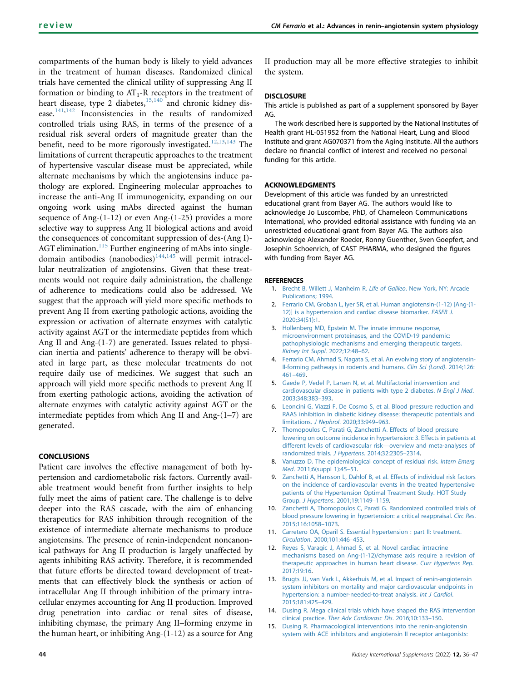compartments of the human body is likely to yield advances in the treatment of human diseases. Randomized clinical trials have cemented the clinical utility of suppressing Ang II formation or binding to  $AT_1$ -R receptors in the treatment of heart disease, type 2 diabetes, $15,140$  $15,140$  and chronic kidney disease.[141,](#page-11-22)[142](#page-11-23) Inconsistencies in the results of randomized controlled trials using RAS, in terms of the presence of a residual risk several orders of magnitude greater than the benefit, need to be more rigorously investigated.<sup>[12](#page-8-8)[,13](#page-8-9)[,143](#page-11-24)</sup> The limitations of current therapeutic approaches to the treatment of hypertensive vascular disease must be appreciated, while alternate mechanisms by which the angiotensins induce pathology are explored. Engineering molecular approaches to increase the anti-Ang II immunogenicity, expanding on our ongoing work using mAbs directed against the human sequence of Ang-(1-12) or even Ang-(1-25) provides a more selective way to suppress Ang II biological actions and avoid the consequences of concomitant suppression of des-(Ang I)- AGT elimination.<sup>[115](#page-11-2)</sup> Further engineering of mAbs into singledomain antibodies (nanobodies) $144,145$  $144,145$  will permit intracellular neutralization of angiotensins. Given that these treatments would not require daily administration, the challenge of adherence to medications could also be addressed. We suggest that the approach will yield more specific methods to prevent Ang II from exerting pathologic actions, avoiding the expression or activation of alternate enzymes with catalytic activity against AGT or the intermediate peptides from which Ang II and Ang-(1-7) are generated. Issues related to physician inertia and patients' adherence to therapy will be obviated in large part, as these molecular treatments do not require daily use of medicines. We suggest that such an approach will yield more specific methods to prevent Ang II from exerting pathologic actions, avoiding the activation of alternate enzymes with catalytic activity against AGT or the intermediate peptides from which Ang II and Ang-(1–7) are generated.

# **CONCLUSIONS**

Patient care involves the effective management of both hypertension and cardiometabolic risk factors. Currently available treatment would benefit from further insights to help fully meet the aims of patient care. The challenge is to delve deeper into the RAS cascade, with the aim of enhancing therapeutics for RAS inhibition through recognition of the existence of intermediate alternate mechanisms to produce angiotensins. The presence of renin-independent noncanonical pathways for Ang II production is largely unaffected by agents inhibiting RAS activity. Therefore, it is recommended that future efforts be directed toward development of treatments that can effectively block the synthesis or action of intracellular Ang II through inhibition of the primary intracellular enzymes accounting for Ang II production. Improved drug penetration into cardiac or renal sites of disease, inhibiting chymase, the primary Ang II–forming enzyme in the human heart, or inhibiting Ang-(1-12) as a source for Ang

II production may all be more effective strategies to inhibit the system.

# **DISCLOSURE**

This article is published as part of a supplement sponsored by Bayer AG.

The work described here is supported by the National Institutes of Health grant HL-051952 from the National Heart, Lung and Blood Institute and grant AG070371 from the Aging Institute. All the authors declare no financial conflict of interest and received no personal funding for this article.

### ACKNOWLEDGMENTS

Development of this article was funded by an unrestricted educational grant from Bayer AG. The authors would like to acknowledge Jo Luscombe, PhD, of Chameleon Communications International, who provided editorial assistance with funding via an unrestricted educational grant from Bayer AG. The authors also acknowledge Alexander Roeder, Ronny Guenther, Sven Goepfert, and Josephin Schoenrich, of CAST PHARMA, who designed the figures with funding from Bayer AG.

#### <span id="page-8-0"></span>REFERENCES

- <span id="page-8-1"></span>1. [Brecht B, Willett J, Manheim R.](http://refhub.elsevier.com/S2157-1716(21)00065-4/sref1) Life of Galileo. New York, NY: Arcade [Publications; 1994.](http://refhub.elsevier.com/S2157-1716(21)00065-4/sref1)
- 2. [Ferrario CM, Groban L, Iyer SR, et al. Human angiotensin-\(1-12\) \[Ang-\(1-](http://refhub.elsevier.com/S2157-1716(21)00065-4/sref2) [12\)\] is a hypertension and cardiac disease biomarker.](http://refhub.elsevier.com/S2157-1716(21)00065-4/sref2) FASEB J. [2020;34\(S1\):1.](http://refhub.elsevier.com/S2157-1716(21)00065-4/sref2)
- <span id="page-8-2"></span>3. Hollenberg MD, Epstein M. The innate immune response, microenvironment proteinases, and the COVID-19 pandemic: pathophysiologic mechanisms and emerging therapeutic targets. Kidney Int Suppl. 2022;12:48–62.
- <span id="page-8-3"></span>4. [Ferrario CM, Ahmad S, Nagata S, et al. An evolving story of angiotensin-](http://refhub.elsevier.com/S2157-1716(21)00065-4/sref4)[II-forming pathways in rodents and humans.](http://refhub.elsevier.com/S2157-1716(21)00065-4/sref4) Clin Sci (Lond). 2014;126: [461](http://refhub.elsevier.com/S2157-1716(21)00065-4/sref4)–469.
- <span id="page-8-4"></span>5. [Gaede P, Vedel P, Larsen N, et al. Multifactorial intervention and](http://refhub.elsevier.com/S2157-1716(21)00065-4/sref5) [cardiovascular disease in patients with type 2 diabetes.](http://refhub.elsevier.com/S2157-1716(21)00065-4/sref5) N Engl J Med. [2003;348:383](http://refhub.elsevier.com/S2157-1716(21)00065-4/sref5)–393.
- <span id="page-8-5"></span>6. [Leoncini G, Viazzi F, De Cosmo S, et al. Blood pressure reduction and](http://refhub.elsevier.com/S2157-1716(21)00065-4/sref6) [RAAS inhibition in diabetic kidney disease: therapeutic potentials and](http://refhub.elsevier.com/S2157-1716(21)00065-4/sref6) limitations. J Nephrol[. 2020;33:949](http://refhub.elsevier.com/S2157-1716(21)00065-4/sref6)–963.
- <span id="page-8-6"></span>7. [Thomopoulos C, Parati G, Zanchetti A. Effects of blood pressure](http://refhub.elsevier.com/S2157-1716(21)00065-4/sref7) [lowering on outcome incidence in hypertension: 3. Effects in patients at](http://refhub.elsevier.com/S2157-1716(21)00065-4/sref7) [different levels of cardiovascular risk](http://refhub.elsevier.com/S2157-1716(21)00065-4/sref7)—overview and meta-analyses of [randomized trials.](http://refhub.elsevier.com/S2157-1716(21)00065-4/sref7) J Hypertens. 2014;32:2305–2314.
- 8. [Vanuzzo D. The epidemiological concept of residual risk.](http://refhub.elsevier.com/S2157-1716(21)00065-4/sref8) Intern Emerg Med[. 2011;6\(suppl 1\):45](http://refhub.elsevier.com/S2157-1716(21)00065-4/sref8)–51.
- 9. [Zanchetti A, Hansson L, Dahlof B, et al. Effects of individual risk factors](http://refhub.elsevier.com/S2157-1716(21)00065-4/sref9) [on the incidence of cardiovascular events in the treated hypertensive](http://refhub.elsevier.com/S2157-1716(21)00065-4/sref9) [patients of the Hypertension Optimal Treatment Study. HOT Study](http://refhub.elsevier.com/S2157-1716(21)00065-4/sref9) Group. J Hypertens[. 2001;19:1149](http://refhub.elsevier.com/S2157-1716(21)00065-4/sref9)–1159.
- <span id="page-8-7"></span>10. [Zanchetti A, Thomopoulos C, Parati G. Randomized controlled trials of](http://refhub.elsevier.com/S2157-1716(21)00065-4/sref10) [blood pressure lowering in hypertension: a critical reappraisal.](http://refhub.elsevier.com/S2157-1716(21)00065-4/sref10) Circ Res. [2015;116:1058](http://refhub.elsevier.com/S2157-1716(21)00065-4/sref10)–1073.
- <span id="page-8-8"></span>11. [Carretero OA, Oparil S. Essential hypertension : part II: treatment.](http://refhub.elsevier.com/S2157-1716(21)00065-4/sref11) Circulation[. 2000;101:446](http://refhub.elsevier.com/S2157-1716(21)00065-4/sref11)–453.
- 12. [Reyes S, Varagic J, Ahmad S, et al. Novel cardiac intracrine](http://refhub.elsevier.com/S2157-1716(21)00065-4/sref12) [mechanisms based on Ang-\(1-12\)/chymase axis require a revision of](http://refhub.elsevier.com/S2157-1716(21)00065-4/sref12) [therapeutic approaches in human heart disease.](http://refhub.elsevier.com/S2157-1716(21)00065-4/sref12) Curr Hypertens Rep. [2017;19:16.](http://refhub.elsevier.com/S2157-1716(21)00065-4/sref12)
- <span id="page-8-9"></span>13. [Brugts JJ, van Vark L, Akkerhuis M, et al. Impact of renin-angiotensin](http://refhub.elsevier.com/S2157-1716(21)00065-4/sref13) [system inhibitors on mortality and major cardiovascular endpoints in](http://refhub.elsevier.com/S2157-1716(21)00065-4/sref13) [hypertension: a number-needed-to-treat analysis.](http://refhub.elsevier.com/S2157-1716(21)00065-4/sref13) Int J Cardiol. [2015;181:425](http://refhub.elsevier.com/S2157-1716(21)00065-4/sref13)–429.
- <span id="page-8-10"></span>14. [Dusing R. Mega clinical trials which have shaped the RAS intervention](http://refhub.elsevier.com/S2157-1716(21)00065-4/sref14) clinical practice. [Ther Adv Cardiovasc Dis](http://refhub.elsevier.com/S2157-1716(21)00065-4/sref14). 2016;10:133–150.
- 15. [Dusing R. Pharmacological interventions into the renin-angiotensin](http://refhub.elsevier.com/S2157-1716(21)00065-4/sref15) [system with ACE inhibitors and angiotensin II receptor antagonists:](http://refhub.elsevier.com/S2157-1716(21)00065-4/sref15)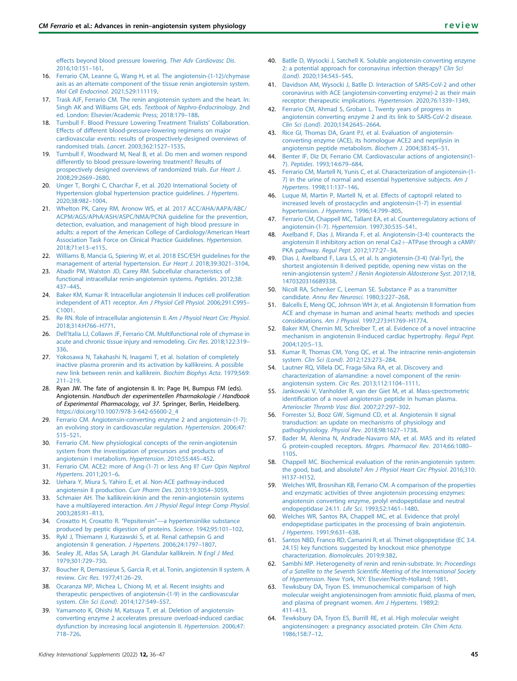[effects beyond blood pressure lowering.](http://refhub.elsevier.com/S2157-1716(21)00065-4/sref15) Ther Adv Cardiovasc Dis. [2016;10:151](http://refhub.elsevier.com/S2157-1716(21)00065-4/sref15)–161.

- 16. [Ferrario CM, Leanne G, Wang H, et al. The angiotensin-\(1-12\)/chymase](http://refhub.elsevier.com/S2157-1716(21)00065-4/sref16) [axis as an alternate component of the tissue renin angiotensin system.](http://refhub.elsevier.com/S2157-1716(21)00065-4/sref16) [Mol Cell Endocrinol](http://refhub.elsevier.com/S2157-1716(21)00065-4/sref16). 2021;529:111119.
- 17. [Trask AJF, Ferrario CM. The renin angiotensin system and the heart. In:](http://refhub.elsevier.com/S2157-1716(21)00065-4/sref17) Singh AK and Williams GH, eds. [Textbook of Nephro-Endocrinology](http://refhub.elsevier.com/S2157-1716(21)00065-4/sref17). 2nd [ed. London: Elsevier/Academic Press; 2018:179](http://refhub.elsevier.com/S2157-1716(21)00065-4/sref17)–188.
- 18. [Turnbull F. Blood Pressure Lowering Treatment Trialists](http://refhub.elsevier.com/S2157-1716(21)00065-4/sref18)' Collaboration. [Effects of different blood-pressure-lowering regimens on major](http://refhub.elsevier.com/S2157-1716(21)00065-4/sref18) [cardiovascular events: results of prospectively-designed overviews of](http://refhub.elsevier.com/S2157-1716(21)00065-4/sref18) [randomised trials.](http://refhub.elsevier.com/S2157-1716(21)00065-4/sref18) Lancet. 2003;362:1527–1535.
- 19. [Turnbull F, Woodward M, Neal B, et al. Do men and women respond](http://refhub.elsevier.com/S2157-1716(21)00065-4/sref19) [differently to blood pressure-lowering treatment? Results of](http://refhub.elsevier.com/S2157-1716(21)00065-4/sref19) [prospectively designed overviews of randomized trials.](http://refhub.elsevier.com/S2157-1716(21)00065-4/sref19) Eur Heart J. [2008;29:2669](http://refhub.elsevier.com/S2157-1716(21)00065-4/sref19)–2680.
- <span id="page-9-0"></span>20. [Unger T, Borghi C, Charchar F, et al. 2020 International Society of](http://refhub.elsevier.com/S2157-1716(21)00065-4/sref20) [Hypertension global hypertension practice guidelines.](http://refhub.elsevier.com/S2157-1716(21)00065-4/sref20) J Hypertens. [2020;38:982](http://refhub.elsevier.com/S2157-1716(21)00065-4/sref20)–1004.
- 21. [Whelton PK, Carey RM, Aronow WS, et al. 2017 ACC/AHA/AAPA/ABC/](http://refhub.elsevier.com/S2157-1716(21)00065-4/sref21) [ACPM/AGS/APhA/ASH/ASPC/NMA/PCNA guideline for the prevention,](http://refhub.elsevier.com/S2157-1716(21)00065-4/sref21) [detection, evaluation, and management of high blood pressure in](http://refhub.elsevier.com/S2157-1716(21)00065-4/sref21) [adults: a report of the American College of Cardiology/American Heart](http://refhub.elsevier.com/S2157-1716(21)00065-4/sref21) [Association Task Force on Clinical Practice Guidelines.](http://refhub.elsevier.com/S2157-1716(21)00065-4/sref21) Hypertension. [2018;71:e13](http://refhub.elsevier.com/S2157-1716(21)00065-4/sref21)–e115.
- 22. [Williams B, Mancia G, Spiering W, et al. 2018 ESC/ESH guidelines for the](http://refhub.elsevier.com/S2157-1716(21)00065-4/sref22) [management of arterial hypertension.](http://refhub.elsevier.com/S2157-1716(21)00065-4/sref22) Eur Heart J. 2018;39:3021–3104.
- <span id="page-9-1"></span>23. [Abadir PM, Walston JD, Carey RM. Subcellular characteristics of](http://refhub.elsevier.com/S2157-1716(21)00065-4/sref23) [functional intracellular renin-angiotensin systems.](http://refhub.elsevier.com/S2157-1716(21)00065-4/sref23) Peptides. 2012;38: [437](http://refhub.elsevier.com/S2157-1716(21)00065-4/sref23)–445.
- <span id="page-9-25"></span>24. [Baker KM, Kumar R. Intracellular angiotensin II induces cell proliferation](http://refhub.elsevier.com/S2157-1716(21)00065-4/sref24) [independent of AT1 receptor.](http://refhub.elsevier.com/S2157-1716(21)00065-4/sref24) Am J Physiol Cell Physiol. 2006;291:C995– [C1001](http://refhub.elsevier.com/S2157-1716(21)00065-4/sref24).
- 25. [Re RN. Role of intracellular angiotensin II.](http://refhub.elsevier.com/S2157-1716(21)00065-4/sref25) Am J Physiol Heart Circ Physiol. [2018;314:H766](http://refhub.elsevier.com/S2157-1716(21)00065-4/sref25)–H771.
- <span id="page-9-2"></span>26. Dell'[Italia LJ, Collawn JF, Ferrario CM. Multifunctional role of chymase in](http://refhub.elsevier.com/S2157-1716(21)00065-4/sref26) [acute and chronic tissue injury and remodeling.](http://refhub.elsevier.com/S2157-1716(21)00065-4/sref26) Circ Res. 2018;122:319– [336](http://refhub.elsevier.com/S2157-1716(21)00065-4/sref26).
- <span id="page-9-3"></span>27. [Yokosawa N, Takahashi N, Inagami T, et al. Isolation of completely](http://refhub.elsevier.com/S2157-1716(21)00065-4/sref27) [inactive plasma prorenin and its activation by kallikreins. A possible](http://refhub.elsevier.com/S2157-1716(21)00065-4/sref27) [new link between renin and kallikrein.](http://refhub.elsevier.com/S2157-1716(21)00065-4/sref27) Biochim Biophys Acta. 1979;569: [211](http://refhub.elsevier.com/S2157-1716(21)00065-4/sref27)–219.
- <span id="page-9-4"></span>28. Ryan JW. The fate of angiotensin II. In: Page IH, Bumpus FM (eds). Angiotensin. Handbuch der experimentellen Pharmakologie / Handbook of Experimental Pharmacology, vol 37. Springer, Berlin, Heidelberg. [https://doi.org/10.1007/978-3-642-65600-2\\_4](https://doi.org/10.1007/978-3-642-65600-2_4)
- <span id="page-9-5"></span>29. [Ferrario CM. Angiotensin-converting enzyme 2 and angiotensin-\(1-7\):](http://refhub.elsevier.com/S2157-1716(21)00065-4/sref29) [an evolving story in cardiovascular regulation.](http://refhub.elsevier.com/S2157-1716(21)00065-4/sref29) Hypertension. 2006;47: [515](http://refhub.elsevier.com/S2157-1716(21)00065-4/sref29)–521.
- 30. [Ferrario CM. New physiological concepts of the renin-angiotensin](http://refhub.elsevier.com/S2157-1716(21)00065-4/sref30) [system from the investigation of precursors and products of](http://refhub.elsevier.com/S2157-1716(21)00065-4/sref30) [angiotensin I metabolism.](http://refhub.elsevier.com/S2157-1716(21)00065-4/sref30) Hypertension. 2010;55:445–452.
- 31. [Ferrario CM. ACE2: more of Ang-\(1-7\) or less Ang II?](http://refhub.elsevier.com/S2157-1716(21)00065-4/sref31) Curr Opin Nephrol Hypertens[. 2011;20:1](http://refhub.elsevier.com/S2157-1716(21)00065-4/sref31)–6.
- <span id="page-9-6"></span>32. [Uehara Y, Miura S, Yahiro E, et al. Non-ACE pathway-induced](http://refhub.elsevier.com/S2157-1716(21)00065-4/sref32) [angiotensin II production.](http://refhub.elsevier.com/S2157-1716(21)00065-4/sref32) Curr Pharm Des. 2013;19:3054–3059.
- <span id="page-9-7"></span>33. [Schmaier AH. The kallikrein-kinin and the renin-angiotensin systems](http://refhub.elsevier.com/S2157-1716(21)00065-4/sref33) have a multilayered interaction. [Am J Physiol Regul Integr Comp Physiol](http://refhub.elsevier.com/S2157-1716(21)00065-4/sref33). [2003;285:R1](http://refhub.elsevier.com/S2157-1716(21)00065-4/sref33)–R13.
- <span id="page-9-8"></span>34. Croxatto H, Croxatto R. "Pepsitensin"—[a hypertensinlike substance](http://refhub.elsevier.com/S2157-1716(21)00065-4/sref34) [produced by peptic digestion of proteins.](http://refhub.elsevier.com/S2157-1716(21)00065-4/sref34) Science. 1942;95:101–102.
- <span id="page-9-9"></span>35. [Rykl J, Thiemann J, Kurzawski S, et al. Renal cathepsin G and](http://refhub.elsevier.com/S2157-1716(21)00065-4/sref35) [angiotensin II generation.](http://refhub.elsevier.com/S2157-1716(21)00065-4/sref35) J Hypertens. 2006;24:1797–1807.
- <span id="page-9-10"></span>36. [Sealey JE, Atlas SA, Laragh JH. Glandular kallikrein.](http://refhub.elsevier.com/S2157-1716(21)00065-4/sref36) N Engl J Med. [1979;301:729](http://refhub.elsevier.com/S2157-1716(21)00065-4/sref36)–730.
- <span id="page-9-11"></span>37. [Boucher R, Demassieux S, Garcia R, et al. Tonin, angiotensin II system. A](http://refhub.elsevier.com/S2157-1716(21)00065-4/sref37) review. Circ Res[. 1977;41:26](http://refhub.elsevier.com/S2157-1716(21)00065-4/sref37)–29.
- <span id="page-9-12"></span>38. [Ocaranza MP, Michea L, Chiong M, et al. Recent insights and](http://refhub.elsevier.com/S2157-1716(21)00065-4/sref38) [therapeutic perspectives of angiotensin-\(1-9\) in the cardiovascular](http://refhub.elsevier.com/S2157-1716(21)00065-4/sref38) system. Clin Sci (Lond)[. 2014;127:549](http://refhub.elsevier.com/S2157-1716(21)00065-4/sref38)–557.
- <span id="page-9-13"></span>39. [Yamamoto K, Ohishi M, Katsuya T, et al. Deletion of angiotensin](http://refhub.elsevier.com/S2157-1716(21)00065-4/sref39)[converting enzyme 2 accelerates pressure overload-induced cardiac](http://refhub.elsevier.com/S2157-1716(21)00065-4/sref39) [dysfunction by increasing local angiotensin II.](http://refhub.elsevier.com/S2157-1716(21)00065-4/sref39) Hypertension. 2006;47: [718](http://refhub.elsevier.com/S2157-1716(21)00065-4/sref39)–726.
- <span id="page-9-14"></span>40. [Batlle D, Wysocki J, Satchell K. Soluble angiotensin-converting enzyme](http://refhub.elsevier.com/S2157-1716(21)00065-4/sref40) [2: a potential approach for coronavirus infection therapy?](http://refhub.elsevier.com/S2157-1716(21)00065-4/sref40) Clin Sci (Lond)[. 2020;134:543](http://refhub.elsevier.com/S2157-1716(21)00065-4/sref40)–545.
- 41. [Davidson AM, Wysocki J, Batlle D. Interaction of SARS-CoV-2 and other](http://refhub.elsevier.com/S2157-1716(21)00065-4/sref41) [coronavirus with ACE \(angiotensin-converting enzyme\)-2 as their main](http://refhub.elsevier.com/S2157-1716(21)00065-4/sref41) [receptor: therapeutic implications.](http://refhub.elsevier.com/S2157-1716(21)00065-4/sref41) Hypertension. 2020;76:1339–1349.
- <span id="page-9-38"></span>42. [Ferrario CM, Ahmad S, Groban L. Twenty years of progress in](http://refhub.elsevier.com/S2157-1716(21)00065-4/sref42) [angiotensin converting enzyme 2 and its link to SARS-CoV-2 disease.](http://refhub.elsevier.com/S2157-1716(21)00065-4/sref42) Clin Sci (Lond)[. 2020;134:2645](http://refhub.elsevier.com/S2157-1716(21)00065-4/sref42)–2664.
- <span id="page-9-15"></span>43. [Rice GI, Thomas DA, Grant PJ, et al. Evaluation of angiotensin](http://refhub.elsevier.com/S2157-1716(21)00065-4/sref43)[converting enzyme \(ACE\), its homologue ACE2 and neprilysin in](http://refhub.elsevier.com/S2157-1716(21)00065-4/sref43) [angiotensin peptide metabolism.](http://refhub.elsevier.com/S2157-1716(21)00065-4/sref43) Biochem J. 2004;383:45–51.
- <span id="page-9-16"></span>44. [Benter IF, Diz DI, Ferrario CM. Cardiovascular actions of angiotensin\(1-](http://refhub.elsevier.com/S2157-1716(21)00065-4/sref44) 7). Peptides[. 1993;14:679](http://refhub.elsevier.com/S2157-1716(21)00065-4/sref44)–684.
- <span id="page-9-17"></span>45. [Ferrario CM, Martell N, Yunis C, et al. Characterization of angiotensin-\(1-](http://refhub.elsevier.com/S2157-1716(21)00065-4/sref45) [7\) in the urine of normal and essential hypertensive subjects.](http://refhub.elsevier.com/S2157-1716(21)00065-4/sref45) Am J Hypertens[. 1998;11:137](http://refhub.elsevier.com/S2157-1716(21)00065-4/sref45)–146.
- <span id="page-9-18"></span>46. [Luque M, Martin P, Martell N, et al. Effects of captopril related to](http://refhub.elsevier.com/S2157-1716(21)00065-4/sref46) [increased levels of prostacyclin and angiotensin-\(1-7\) in essential](http://refhub.elsevier.com/S2157-1716(21)00065-4/sref46) [hypertension.](http://refhub.elsevier.com/S2157-1716(21)00065-4/sref46) J Hypertens. 1996;14:799–805.
- <span id="page-9-19"></span>47. [Ferrario CM, Chappell MC, Tallant EA, et al. Counterregulatory actions of](http://refhub.elsevier.com/S2157-1716(21)00065-4/sref47) [angiotensin-\(1-7\).](http://refhub.elsevier.com/S2157-1716(21)00065-4/sref47) Hypertension. 1997;30:535–541.
- <span id="page-9-20"></span>48. [Axelband F, Dias J, Miranda F, et al. Angiotensin-\(3-4\) counteracts the](http://refhub.elsevier.com/S2157-1716(21)00065-4/sref48) [angiotensin II inhibitory action on renal Ca2](http://refhub.elsevier.com/S2157-1716(21)00065-4/sref48)+[-ATPase through a cAMP/](http://refhub.elsevier.com/S2157-1716(21)00065-4/sref48) [PKA pathway.](http://refhub.elsevier.com/S2157-1716(21)00065-4/sref48) Regul Pept. 2012;177:27–34.
- <span id="page-9-21"></span>49. [Dias J, Axelband F, Lara LS, et al. Is angiotensin-\(3-4\) \(Val-Tyr\), the](http://refhub.elsevier.com/S2157-1716(21)00065-4/sref49) [shortest angiotensin II-derived peptide, opening new vistas on the](http://refhub.elsevier.com/S2157-1716(21)00065-4/sref49) renin-angiotensin system? [J Renin Angiotensin Aldosterone Syst](http://refhub.elsevier.com/S2157-1716(21)00065-4/sref49). 2017;18, [1470320316689338](http://refhub.elsevier.com/S2157-1716(21)00065-4/sref49).
- <span id="page-9-22"></span>50. [Nicoll RA, Schenker C, Leeman SE. Substance P as a transmitter](http://refhub.elsevier.com/S2157-1716(21)00065-4/sref50) candidate. [Annu Rev Neurosci](http://refhub.elsevier.com/S2157-1716(21)00065-4/sref50). 1980;3:227–268.
- <span id="page-9-23"></span>51. [Balcells E, Meng QC, Johnson WH Jr, et al. Angiotensin II formation from](http://refhub.elsevier.com/S2157-1716(21)00065-4/sref51) [ACE and chymase in human and animal hearts: methods and species](http://refhub.elsevier.com/S2157-1716(21)00065-4/sref51) considerations. Am J Physiol[. 1997;273:H1769](http://refhub.elsevier.com/S2157-1716(21)00065-4/sref51)–H1774.
- <span id="page-9-24"></span>52. [Baker KM, Chernin MI, Schreiber T, et al. Evidence of a novel intracrine](http://refhub.elsevier.com/S2157-1716(21)00065-4/sref52) [mechanism in angiotensin II-induced cardiac hypertrophy.](http://refhub.elsevier.com/S2157-1716(21)00065-4/sref52) Regul Pept. [2004;120:5](http://refhub.elsevier.com/S2157-1716(21)00065-4/sref52)–13.
- <span id="page-9-26"></span>53. [Kumar R, Thomas CM, Yong QC, et al. The intracrine renin-angiotensin](http://refhub.elsevier.com/S2157-1716(21)00065-4/sref53) system. Clin Sci (Lond)[. 2012;123:273](http://refhub.elsevier.com/S2157-1716(21)00065-4/sref53)–284.
- <span id="page-9-27"></span>54. [Lautner RQ, Villela DC, Fraga-Silva RA, et al. Discovery and](http://refhub.elsevier.com/S2157-1716(21)00065-4/sref54) [characterization of alamandine: a novel component of the renin](http://refhub.elsevier.com/S2157-1716(21)00065-4/sref54)[angiotensin system.](http://refhub.elsevier.com/S2157-1716(21)00065-4/sref54) Circ Res. 2013;112:1104–1111.
- <span id="page-9-28"></span>55. [Jankowski V, Vanholder R, van der Giet M, et al. Mass-spectrometric](http://refhub.elsevier.com/S2157-1716(21)00065-4/sref55) identifi[cation of a novel angiotensin peptide in human plasma.](http://refhub.elsevier.com/S2157-1716(21)00065-4/sref55) [Arterioscler Thromb Vasc Biol](http://refhub.elsevier.com/S2157-1716(21)00065-4/sref55). 2007;27:297–302.
- <span id="page-9-29"></span>56. [Forrester SJ, Booz GW, Sigmund CD, et al. Angiotensin II signal](http://refhub.elsevier.com/S2157-1716(21)00065-4/sref56) [transduction: an update on mechanisms of physiology and](http://refhub.elsevier.com/S2157-1716(21)00065-4/sref56) [pathophysiology.](http://refhub.elsevier.com/S2157-1716(21)00065-4/sref56) Physiol Rev. 2018;98:1627–1738.
- <span id="page-9-30"></span>[Bader M, Alenina N, Andrade-Navarro MA, et al. MAS and its related](http://refhub.elsevier.com/S2157-1716(21)00065-4/sref57) [G protein-coupled receptors.](http://refhub.elsevier.com/S2157-1716(21)00065-4/sref57) Mrgprs. Pharmacol Rev. 2014;66:1080– [1105.](http://refhub.elsevier.com/S2157-1716(21)00065-4/sref57)
- <span id="page-9-31"></span>58. [Chappell MC. Biochemical evaluation of the renin-angiotensin system:](http://refhub.elsevier.com/S2157-1716(21)00065-4/sref58) the good, bad, and absolute? [Am J Physiol Heart Circ Physiol](http://refhub.elsevier.com/S2157-1716(21)00065-4/sref58). 2016;310: H137–[H152.](http://refhub.elsevier.com/S2157-1716(21)00065-4/sref58)
- <span id="page-9-33"></span>59. [Welches WR, Brosnihan KB, Ferrario CM. A comparison of the properties](http://refhub.elsevier.com/S2157-1716(21)00065-4/sref59) [and enzymatic activities of three angiotensin processing enzymes:](http://refhub.elsevier.com/S2157-1716(21)00065-4/sref59) [angiotensin converting enzyme, prolyl endopeptidase and neutral](http://refhub.elsevier.com/S2157-1716(21)00065-4/sref59) [endopeptidase 24.11.](http://refhub.elsevier.com/S2157-1716(21)00065-4/sref59) Life Sci. 1993;52:1461–1480.
- <span id="page-9-34"></span>60. [Welches WR, Santos RA, Chappell MC, et al. Evidence that prolyl](http://refhub.elsevier.com/S2157-1716(21)00065-4/sref60) [endopeptidase participates in the processing of brain angiotensin.](http://refhub.elsevier.com/S2157-1716(21)00065-4/sref60) J Hypertens[. 1991;9:631](http://refhub.elsevier.com/S2157-1716(21)00065-4/sref60)–638.
- <span id="page-9-32"></span>61. [Santos NBD, Franco RD, Camarini R, et al. Thimet oligopeptidase \(EC 3.4.](http://refhub.elsevier.com/S2157-1716(21)00065-4/sref61) [24.15\) key functions suggested by knockout mice phenotype](http://refhub.elsevier.com/S2157-1716(21)00065-4/sref61) [characterization.](http://refhub.elsevier.com/S2157-1716(21)00065-4/sref61) Biomolecules. 2019;9:382.
- <span id="page-9-35"></span>62. [Sambhi MP. Heterogeneity of renin and renin-substrate. In:](http://refhub.elsevier.com/S2157-1716(21)00065-4/sref62) Proceedings of a Satellite to the Seventh Scientifi[c Meeting of the International Society](http://refhub.elsevier.com/S2157-1716(21)00065-4/sref62) of Hypertension[. New York, NY: Elsevier/North-Holland; 1981](http://refhub.elsevier.com/S2157-1716(21)00065-4/sref62).
- <span id="page-9-36"></span>63. [Tewksbury DA, Tryon ES. Immunochemical comparison of high](http://refhub.elsevier.com/S2157-1716(21)00065-4/sref63) [molecular weight angiotensinogen from amniotic](http://refhub.elsevier.com/S2157-1716(21)00065-4/sref63) fluid, plasma of men, [and plasma of pregnant women.](http://refhub.elsevier.com/S2157-1716(21)00065-4/sref63) Am J Hypertens. 1989;2: 411–[413.](http://refhub.elsevier.com/S2157-1716(21)00065-4/sref63)
- <span id="page-9-37"></span>64. [Tewksbury DA, Tryon ES, Burrill RE, et al. High molecular weight](http://refhub.elsevier.com/S2157-1716(21)00065-4/sref64) [angiotensinogen: a pregnancy associated protein.](http://refhub.elsevier.com/S2157-1716(21)00065-4/sref64) Clin Chim Acta. [1986;158:7](http://refhub.elsevier.com/S2157-1716(21)00065-4/sref64)–12.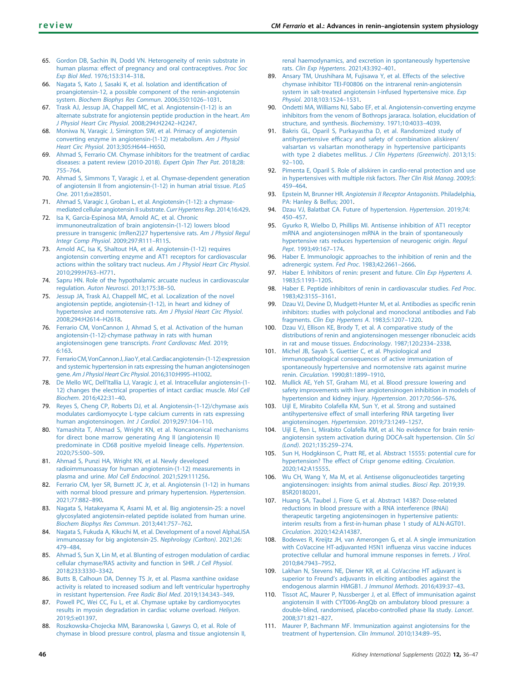- <span id="page-10-0"></span>65. [Gordon DB, Sachin IN, Dodd VN. Heterogeneity of renin substrate in](http://refhub.elsevier.com/S2157-1716(21)00065-4/sref65) [human plasma: effect of pregnancy and oral contraceptives.](http://refhub.elsevier.com/S2157-1716(21)00065-4/sref65) Proc Soc Exp Biol Med[. 1976;153:314](http://refhub.elsevier.com/S2157-1716(21)00065-4/sref65)–318.
- <span id="page-10-1"></span>66. [Nagata S, Kato J, Sasaki K, et al. Isolation and identi](http://refhub.elsevier.com/S2157-1716(21)00065-4/sref66)fication of [proangiotensin-12, a possible component of the renin-angiotensin](http://refhub.elsevier.com/S2157-1716(21)00065-4/sref66) system. [Biochem Biophys Res Commun](http://refhub.elsevier.com/S2157-1716(21)00065-4/sref66). 2006;350:1026–1031.
- <span id="page-10-2"></span>67. [Trask AJ, Jessup JA, Chappell MC, et al. Angiotensin-\(1-12\) is an](http://refhub.elsevier.com/S2157-1716(21)00065-4/sref67) [alternate substrate for angiotensin peptide production in the heart.](http://refhub.elsevier.com/S2157-1716(21)00065-4/sref67) Am [J Physiol Heart Circ Physiol](http://refhub.elsevier.com/S2157-1716(21)00065-4/sref67). 2008;294:H2242–H2247.
- <span id="page-10-3"></span>68. [Moniwa N, Varagic J, Simington SW, et al. Primacy of angiotensin](http://refhub.elsevier.com/S2157-1716(21)00065-4/sref68) [converting enzyme in angiotensin-\(1-12\) metabolism.](http://refhub.elsevier.com/S2157-1716(21)00065-4/sref68) Am J Physiol [Heart Circ Physiol](http://refhub.elsevier.com/S2157-1716(21)00065-4/sref68). 2013;305:H644–H650.
- <span id="page-10-4"></span>69. [Ahmad S, Ferrario CM. Chymase inhibitors for the treatment of cardiac](http://refhub.elsevier.com/S2157-1716(21)00065-4/sref69) [diseases: a patent review \(2010-2018\).](http://refhub.elsevier.com/S2157-1716(21)00065-4/sref69) Expert Opin Ther Pat. 2018;28: [755](http://refhub.elsevier.com/S2157-1716(21)00065-4/sref69)–764.
- 70. [Ahmad S, Simmons T, Varagic J, et al. Chymase-dependent generation](http://refhub.elsevier.com/S2157-1716(21)00065-4/sref70) [of angiotensin II from angiotensin-\(1-12\) in human atrial tissue.](http://refhub.elsevier.com/S2157-1716(21)00065-4/sref70) PLoS One[. 2011;6:e28501.](http://refhub.elsevier.com/S2157-1716(21)00065-4/sref70)
- 71. [Ahmad S, Varagic J, Groban L, et al. Angiotensin-\(1-12\): a chymase](http://refhub.elsevier.com/S2157-1716(21)00065-4/sref71)[mediated cellular angiotensin II substrate.](http://refhub.elsevier.com/S2157-1716(21)00065-4/sref71) Curr Hypertens Rep. 2014;16:429.
- <span id="page-10-5"></span>72. [Isa K, Garcia-Espinosa MA, Arnold AC, et al. Chronic](http://refhub.elsevier.com/S2157-1716(21)00065-4/sref72) [immunoneutralization of brain angiotensin-\(1-12\) lowers blood](http://refhub.elsevier.com/S2157-1716(21)00065-4/sref72) [pressure in transgenic \(mRen2\)27 hypertensive rats.](http://refhub.elsevier.com/S2157-1716(21)00065-4/sref72) Am J Physiol Regul [Integr Comp Physiol](http://refhub.elsevier.com/S2157-1716(21)00065-4/sref72). 2009;297:R111–R115.
- <span id="page-10-6"></span>73. [Arnold AC, Isa K, Shaltout HA, et al. Angiotensin-\(1-12\) requires](http://refhub.elsevier.com/S2157-1716(21)00065-4/sref73) [angiotensin converting enzyme and AT1 receptors for cardiovascular](http://refhub.elsevier.com/S2157-1716(21)00065-4/sref73) [actions within the solitary tract nucleus.](http://refhub.elsevier.com/S2157-1716(21)00065-4/sref73) Am J Physiol Heart Circ Physiol. [2010;299:H763](http://refhub.elsevier.com/S2157-1716(21)00065-4/sref73)–H771.
- <span id="page-10-46"></span><span id="page-10-45"></span><span id="page-10-44"></span><span id="page-10-7"></span>74. [Sapru HN. Role of the hypothalamic arcuate nucleus in cardiovascular](http://refhub.elsevier.com/S2157-1716(21)00065-4/sref74) regulation. [Auton Neurosci](http://refhub.elsevier.com/S2157-1716(21)00065-4/sref74). 2013;175:38–50.
- <span id="page-10-8"></span>75. [Jessup JA, Trask AJ, Chappell MC, et al. Localization of the novel](http://refhub.elsevier.com/S2157-1716(21)00065-4/sref75) [angiotensin peptide, angiotensin-\(1-12\), in heart and kidney of](http://refhub.elsevier.com/S2157-1716(21)00065-4/sref75) [hypertensive and normotensive rats.](http://refhub.elsevier.com/S2157-1716(21)00065-4/sref75) Am J Physiol Heart Circ Physiol. [2008;294:H2614](http://refhub.elsevier.com/S2157-1716(21)00065-4/sref75)–H2618.
- <span id="page-10-9"></span>76. [Ferrario CM, VonCannon J, Ahmad S, et al. Activation of the human](http://refhub.elsevier.com/S2157-1716(21)00065-4/sref76) [angiotensin-\(1-12\)-chymase pathway in rats with human](http://refhub.elsevier.com/S2157-1716(21)00065-4/sref76) [angiotensinogen gene transcripts.](http://refhub.elsevier.com/S2157-1716(21)00065-4/sref76) Front Cardiovasc Med. 2019; [6:163.](http://refhub.elsevier.com/S2157-1716(21)00065-4/sref76)
- <span id="page-10-10"></span>77. Ferrario CM, VonCannon J, Jiao Y, et al. Cardiac angiotensin-(1-12) expression [and systemic hypertension in rats expressing the human angiotensinogen](http://refhub.elsevier.com/S2157-1716(21)00065-4/sref77) gene. [Am J Physiol Heart Circ Physiol](http://refhub.elsevier.com/S2157-1716(21)00065-4/sref77). 2016;310:H995–H1002.
- <span id="page-10-11"></span>78. De Mello WC, Dell'[Itallia LJ, Varagic J, et al. Intracellular angiotensin-\(1-](http://refhub.elsevier.com/S2157-1716(21)00065-4/sref78) [12\) changes the electrical properties of intact cardiac muscle.](http://refhub.elsevier.com/S2157-1716(21)00065-4/sref78) Mol Cell Biochem[. 2016;422:31](http://refhub.elsevier.com/S2157-1716(21)00065-4/sref78)–40.
- <span id="page-10-12"></span>79. [Reyes S, Cheng CP, Roberts DJ, et al. Angiotensin-\(1-12\)/chymase axis](http://refhub.elsevier.com/S2157-1716(21)00065-4/sref79) [modulates cardiomyocyte L-type calcium currents in rats expressing](http://refhub.elsevier.com/S2157-1716(21)00065-4/sref79) [human angiotensinogen.](http://refhub.elsevier.com/S2157-1716(21)00065-4/sref79) Int J Cardiol. 2019;297:104–110.
- <span id="page-10-13"></span>80. [Yamashita T, Ahmad S, Wright KN, et al. Noncanonical mechanisms](http://refhub.elsevier.com/S2157-1716(21)00065-4/sref80) [for direct bone marrow generating Ang II \(angiotensin II\)](http://refhub.elsevier.com/S2157-1716(21)00065-4/sref80) [predominate in CD68 positive myeloid lineage cells.](http://refhub.elsevier.com/S2157-1716(21)00065-4/sref80) Hypertension. [2020;75:500](http://refhub.elsevier.com/S2157-1716(21)00065-4/sref80)–509.
- <span id="page-10-14"></span>81. [Ahmad S, Punzi HA, Wright KN, et al. Newly developed](http://refhub.elsevier.com/S2157-1716(21)00065-4/sref81) [radioimmunoassay for human angiotensin-\(1-12\) measurements in](http://refhub.elsevier.com/S2157-1716(21)00065-4/sref81) plasma and urine. [Mol Cell Endocrinol](http://refhub.elsevier.com/S2157-1716(21)00065-4/sref81). 2021;529:111256.
- <span id="page-10-15"></span>82. [Ferrario CM, Iyer SR, Burnett JC Jr, et al. Angiotensin \(1-12\) in humans](http://refhub.elsevier.com/S2157-1716(21)00065-4/sref82) [with normal blood pressure and primary hypertension.](http://refhub.elsevier.com/S2157-1716(21)00065-4/sref82) Hypertension. [2021;77:882](http://refhub.elsevier.com/S2157-1716(21)00065-4/sref82)–890.
- <span id="page-10-16"></span>83. [Nagata S, Hatakeyama K, Asami M, et al. Big angiotensin-25: a novel](http://refhub.elsevier.com/S2157-1716(21)00065-4/sref83) [glycosylated angiotensin-related peptide isolated from human urine.](http://refhub.elsevier.com/S2157-1716(21)00065-4/sref83) [Biochem Biophys Res Commun](http://refhub.elsevier.com/S2157-1716(21)00065-4/sref83). 2013;441:757–762.
- <span id="page-10-17"></span>84. [Nagata S, Fukuda A, Kikuchi M, et al. Development of a novel AlphaLISA](http://refhub.elsevier.com/S2157-1716(21)00065-4/sref84) [immunoassay for big angiotensin-25.](http://refhub.elsevier.com/S2157-1716(21)00065-4/sref84) Nephrology (Carlton). 2021;26: [479](http://refhub.elsevier.com/S2157-1716(21)00065-4/sref84)–484.
- <span id="page-10-18"></span>85. [Ahmad S, Sun X, Lin M, et al. Blunting of estrogen modulation of cardiac](http://refhub.elsevier.com/S2157-1716(21)00065-4/sref85) [cellular chymase/RAS activity and function in SHR.](http://refhub.elsevier.com/S2157-1716(21)00065-4/sref85) J Cell Physiol. [2018;233:3330](http://refhub.elsevier.com/S2157-1716(21)00065-4/sref85)–3342.
- <span id="page-10-19"></span>86. [Butts B, Calhoun DA, Denney TS Jr, et al. Plasma xanthine oxidase](http://refhub.elsevier.com/S2157-1716(21)00065-4/sref86) [activity is related to increased sodium and left ventricular hypertrophy](http://refhub.elsevier.com/S2157-1716(21)00065-4/sref86) [in resistant hypertension.](http://refhub.elsevier.com/S2157-1716(21)00065-4/sref86) Free Radic Biol Med. 2019;134:343–349.
- <span id="page-10-20"></span>87. [Powell PC, Wei CC, Fu L, et al. Chymase uptake by cardiomyocytes](http://refhub.elsevier.com/S2157-1716(21)00065-4/sref87) [results in myosin degradation in cardiac volume overload.](http://refhub.elsevier.com/S2157-1716(21)00065-4/sref87) Heliyon. [2019;5:e01397.](http://refhub.elsevier.com/S2157-1716(21)00065-4/sref87)
- <span id="page-10-21"></span>88. [Roszkowska-Chojecka MM, Baranowska I, Gawrys O, et al. Role of](http://refhub.elsevier.com/S2157-1716(21)00065-4/sref88) [chymase in blood pressure control, plasma and tissue angiotensin II,](http://refhub.elsevier.com/S2157-1716(21)00065-4/sref88)

[renal haemodynamics, and excretion in spontaneously hypertensive](http://refhub.elsevier.com/S2157-1716(21)00065-4/sref88) rats. [Clin Exp Hypertens](http://refhub.elsevier.com/S2157-1716(21)00065-4/sref88). 2021;43:392–401.

- <span id="page-10-22"></span>89. [Ansary TM, Urushihara M, Fujisawa Y, et al. Effects of the selective](http://refhub.elsevier.com/S2157-1716(21)00065-4/sref89) [chymase inhibitor TEI-F00806 on the intrarenal renin-angiotensin](http://refhub.elsevier.com/S2157-1716(21)00065-4/sref89) [system in salt-treated angiotensin I-infused hypertensive mice.](http://refhub.elsevier.com/S2157-1716(21)00065-4/sref89) Exp Physiol[. 2018;103:1524](http://refhub.elsevier.com/S2157-1716(21)00065-4/sref89)–1531.
- <span id="page-10-23"></span>90. [Ondetti MA, Williams NJ, Sabo EF, et al. Angiotensin-converting enzyme](http://refhub.elsevier.com/S2157-1716(21)00065-4/sref90) [inhibitors from the venom of Bothrops jararaca. Isolation, elucidation of](http://refhub.elsevier.com/S2157-1716(21)00065-4/sref90) [structure, and synthesis.](http://refhub.elsevier.com/S2157-1716(21)00065-4/sref90) Biochemistry. 1971;10:4033–4039.
- <span id="page-10-24"></span>91. [Bakris GL, Oparil S, Purkayastha D, et al. Randomized study of](http://refhub.elsevier.com/S2157-1716(21)00065-4/sref91) antihypertensive effi[cacy and safety of combination aliskiren/](http://refhub.elsevier.com/S2157-1716(21)00065-4/sref91) [valsartan vs valsartan monotherapy in hypertensive participants](http://refhub.elsevier.com/S2157-1716(21)00065-4/sref91) [with type 2 diabetes mellitus.](http://refhub.elsevier.com/S2157-1716(21)00065-4/sref91) J Clin Hypertens (Greenwich). 2013;15: 92–[100.](http://refhub.elsevier.com/S2157-1716(21)00065-4/sref91)
- <span id="page-10-25"></span>92. [Pimenta E, Oparil S. Role of aliskiren in cardio-renal protection and use](http://refhub.elsevier.com/S2157-1716(21)00065-4/sref92) [in hypertensives with multiple risk factors.](http://refhub.elsevier.com/S2157-1716(21)00065-4/sref92) Ther Clin Risk Manag. 2009;5: 459–[464.](http://refhub.elsevier.com/S2157-1716(21)00065-4/sref92)
- <span id="page-10-26"></span>93. Epstein M, Brunner HR. [Angiotensin II Receptor Antagonists](http://refhub.elsevier.com/S2157-1716(21)00065-4/sref93). Philadelphia, [PA: Hanley & Belfus; 2001.](http://refhub.elsevier.com/S2157-1716(21)00065-4/sref93)
- <span id="page-10-27"></span>94. [Dzau VJ, Balatbat CA. Future of hypertension.](http://refhub.elsevier.com/S2157-1716(21)00065-4/sref94) Hypertension. 2019;74: 450–[457.](http://refhub.elsevier.com/S2157-1716(21)00065-4/sref94)
- <span id="page-10-28"></span>95. [Gyurko R, Wielbo D, Phillips MI. Antisense inhibition of AT1 receptor](http://refhub.elsevier.com/S2157-1716(21)00065-4/sref95) [mRNA and angiotensinogen mRNA in the brain of spontaneously](http://refhub.elsevier.com/S2157-1716(21)00065-4/sref95) [hypertensive rats reduces hypertension of neurogenic origin.](http://refhub.elsevier.com/S2157-1716(21)00065-4/sref95) Regul Pept[. 1993;49:167](http://refhub.elsevier.com/S2157-1716(21)00065-4/sref95)–174.
- <span id="page-10-29"></span>96. [Haber E. Immunologic approaches to the inhibition of renin and the](http://refhub.elsevier.com/S2157-1716(21)00065-4/sref96) [adrenergic system.](http://refhub.elsevier.com/S2157-1716(21)00065-4/sref96) Fed Proc. 1983;42:2661–2666.
- <span id="page-10-43"></span><span id="page-10-42"></span><span id="page-10-41"></span><span id="page-10-30"></span>97. [Haber E. Inhibitors of renin: present and future.](http://refhub.elsevier.com/S2157-1716(21)00065-4/sref97) Clin Exp Hypertens A. [1983;5:1193](http://refhub.elsevier.com/S2157-1716(21)00065-4/sref97)–1205.
- <span id="page-10-31"></span>98. [Haber E. Peptide inhibitors of renin in cardiovascular studies.](http://refhub.elsevier.com/S2157-1716(21)00065-4/sref98) Fed Proc. [1983;42:3155](http://refhub.elsevier.com/S2157-1716(21)00065-4/sref98)–3161.
- <span id="page-10-32"></span>99. [Dzau VJ, Devine D, Mudgett-Hunter M, et al. Antibodies as speci](http://refhub.elsevier.com/S2157-1716(21)00065-4/sref99)fic renin [inhibitors: studies with polyclonal and monoclonal antibodies and Fab](http://refhub.elsevier.com/S2157-1716(21)00065-4/sref99) fragments. [Clin Exp Hypertens A](http://refhub.elsevier.com/S2157-1716(21)00065-4/sref99). 1983;5:1207–1220.
- <span id="page-10-33"></span>100. [Dzau VJ, Ellison KE, Brody T, et al. A comparative study of the](http://refhub.elsevier.com/S2157-1716(21)00065-4/sref100) [distributions of renin and angiotensinogen messenger ribonucleic acids](http://refhub.elsevier.com/S2157-1716(21)00065-4/sref100) [in rat and mouse tissues.](http://refhub.elsevier.com/S2157-1716(21)00065-4/sref100) Endocrinology. 1987;120:2334–2338.
- <span id="page-10-34"></span>101. [Michel JB, Sayah S, Guettier C, et al. Physiological and](http://refhub.elsevier.com/S2157-1716(21)00065-4/sref101) [immunopathological consequences of active immunization of](http://refhub.elsevier.com/S2157-1716(21)00065-4/sref101) [spontaneously hypertensive and normotensive rats against murine](http://refhub.elsevier.com/S2157-1716(21)00065-4/sref101) renin. Circulation[. 1990;81:1899](http://refhub.elsevier.com/S2157-1716(21)00065-4/sref101)–1910.
- <span id="page-10-35"></span>102. [Mullick AE, Yeh ST, Graham MJ, et al. Blood pressure lowering and](http://refhub.elsevier.com/S2157-1716(21)00065-4/sref102) [safety improvements with liver angiotensinogen inhibition in models of](http://refhub.elsevier.com/S2157-1716(21)00065-4/sref102) [hypertension and kidney injury.](http://refhub.elsevier.com/S2157-1716(21)00065-4/sref102) Hypertension. 2017;70:566–576.
- <span id="page-10-36"></span>103. [Uijl E, Mirabito Colafella KM, Sun Y, et al. Strong and sustained](http://refhub.elsevier.com/S2157-1716(21)00065-4/sref103) [antihypertensive effect of small interfering RNA targeting liver](http://refhub.elsevier.com/S2157-1716(21)00065-4/sref103) [angiotensinogen.](http://refhub.elsevier.com/S2157-1716(21)00065-4/sref103) Hypertension. 2019;73:1249–1257.
- <span id="page-10-37"></span>104. [Uijl E, Ren L, Mirabito Colafella KM, et al. No evidence for brain renin](http://refhub.elsevier.com/S2157-1716(21)00065-4/sref104)[angiotensin system activation during DOCA-salt hypertension.](http://refhub.elsevier.com/S2157-1716(21)00065-4/sref104) Clin Sci (Lond)[. 2021;135:259](http://refhub.elsevier.com/S2157-1716(21)00065-4/sref104)–274.
- <span id="page-10-38"></span>105. [Sun H, Hodgkinson C, Pratt RE, et al. Abstract 15555: potential cure for](http://refhub.elsevier.com/S2157-1716(21)00065-4/sref105) [hypertension? The effect of Crispr genome editing.](http://refhub.elsevier.com/S2157-1716(21)00065-4/sref105) Circulation. [2020;142:A15555](http://refhub.elsevier.com/S2157-1716(21)00065-4/sref105).
- <span id="page-10-39"></span>106. [Wu CH, Wang Y, Ma M, et al. Antisense oligonucleotides targeting](http://refhub.elsevier.com/S2157-1716(21)00065-4/sref106) [angiotensinogen: insights from animal studies.](http://refhub.elsevier.com/S2157-1716(21)00065-4/sref106) Biosci Rep. 2019;39. [BSR20180201](http://refhub.elsevier.com/S2157-1716(21)00065-4/sref106).
- <span id="page-10-40"></span>107. [Huang SA, Taubel J, Fiore G, et al. Abstract 14387: Dose-related](http://refhub.elsevier.com/S2157-1716(21)00065-4/sref107) [reductions in blood pressure with a RNA interference \(RNAi\)](http://refhub.elsevier.com/S2157-1716(21)00065-4/sref107) [therapeutic targeting angiotensinogen in hypertensive patients:](http://refhub.elsevier.com/S2157-1716(21)00065-4/sref107) interim results from a fi[rst-in-human phase 1 study of ALN-AGT01.](http://refhub.elsevier.com/S2157-1716(21)00065-4/sref107) Circulation[. 2020;142:A14387.](http://refhub.elsevier.com/S2157-1716(21)00065-4/sref107)
- <span id="page-10-48"></span>[Bodewes R, Kreijtz JH, van Amerongen G, et al. A single immunization](http://refhub.elsevier.com/S2157-1716(21)00065-4/sref108) [with CoVaccine HT-adjuvanted H5N1 in](http://refhub.elsevier.com/S2157-1716(21)00065-4/sref108)fluenza virus vaccine induces [protective cellular and humoral immune responses in ferrets.](http://refhub.elsevier.com/S2157-1716(21)00065-4/sref108) J Virol. [2010;84:7943](http://refhub.elsevier.com/S2157-1716(21)00065-4/sref108)–7952.
- <span id="page-10-49"></span>109. [Lakhan N, Stevens NE, Diener KR, et al. CoVaccine HT adjuvant is](http://refhub.elsevier.com/S2157-1716(21)00065-4/sref109) superior to Freund'[s adjuvants in eliciting antibodies against the](http://refhub.elsevier.com/S2157-1716(21)00065-4/sref109) [endogenous alarmin HMGB1.](http://refhub.elsevier.com/S2157-1716(21)00065-4/sref109) J Immunol Methods. 2016;439:37–43.
- <span id="page-10-47"></span>110. [Tissot AC, Maurer P, Nussberger J, et al. Effect of immunisation against](http://refhub.elsevier.com/S2157-1716(21)00065-4/sref110) [angiotensin II with CYT006-AngQb on ambulatory blood pressure: a](http://refhub.elsevier.com/S2157-1716(21)00065-4/sref110) [double-blind, randomised, placebo-controlled phase IIa study.](http://refhub.elsevier.com/S2157-1716(21)00065-4/sref110) Lancet. [2008;371:821](http://refhub.elsevier.com/S2157-1716(21)00065-4/sref110)–827.
- 111. [Maurer P, Bachmann MF. Immunization against angiotensins for the](http://refhub.elsevier.com/S2157-1716(21)00065-4/sref111) [treatment of hypertension.](http://refhub.elsevier.com/S2157-1716(21)00065-4/sref111) Clin Immunol. 2010;134:89–95.